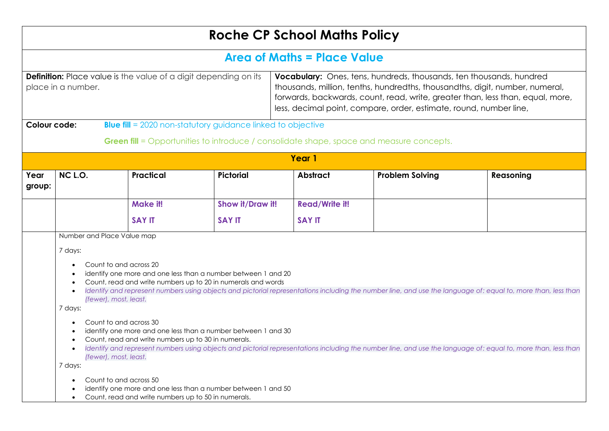|                                                                                               |                                                                                                                                                                                                                                                                                                                                          |                                                                                                                               |                  | <b>Roche CP School Maths Policy</b>                                                                                                                                                                                                                                                                                |                                                                                                 |                                                                                                                                                               |  |  |  |  |
|-----------------------------------------------------------------------------------------------|------------------------------------------------------------------------------------------------------------------------------------------------------------------------------------------------------------------------------------------------------------------------------------------------------------------------------------------|-------------------------------------------------------------------------------------------------------------------------------|------------------|--------------------------------------------------------------------------------------------------------------------------------------------------------------------------------------------------------------------------------------------------------------------------------------------------------------------|-------------------------------------------------------------------------------------------------|---------------------------------------------------------------------------------------------------------------------------------------------------------------|--|--|--|--|
|                                                                                               | <b>Area of Maths = Place Value</b>                                                                                                                                                                                                                                                                                                       |                                                                                                                               |                  |                                                                                                                                                                                                                                                                                                                    |                                                                                                 |                                                                                                                                                               |  |  |  |  |
| <b>Definition:</b> Place value is the value of a digit depending on its<br>place in a number. |                                                                                                                                                                                                                                                                                                                                          |                                                                                                                               |                  | <b>Vocabulary:</b> Ones, tens, hundreds, thousands, ten thousands, hundred<br>thousands, million, tenths, hundredths, thousandths, digit, number, numeral,<br>forwards, backwards, count, read, write, greater than, less than, equal, more,<br>less, decimal point, compare, order, estimate, round, number line, |                                                                                                 |                                                                                                                                                               |  |  |  |  |
| Colour code:                                                                                  |                                                                                                                                                                                                                                                                                                                                          | <b>Blue fill</b> = 2020 non-statutory guidance linked to objective                                                            |                  |                                                                                                                                                                                                                                                                                                                    |                                                                                                 |                                                                                                                                                               |  |  |  |  |
|                                                                                               |                                                                                                                                                                                                                                                                                                                                          |                                                                                                                               |                  |                                                                                                                                                                                                                                                                                                                    | <b>Green fill</b> = Opportunities to introduce / consolidate shape, space and measure concepts. |                                                                                                                                                               |  |  |  |  |
|                                                                                               |                                                                                                                                                                                                                                                                                                                                          |                                                                                                                               |                  | Year 1                                                                                                                                                                                                                                                                                                             |                                                                                                 |                                                                                                                                                               |  |  |  |  |
| Year<br>group:                                                                                | NC L.O.                                                                                                                                                                                                                                                                                                                                  | Practical                                                                                                                     | <b>Pictorial</b> | <b>Abstract</b>                                                                                                                                                                                                                                                                                                    | <b>Problem Solving</b>                                                                          | Reasoning                                                                                                                                                     |  |  |  |  |
|                                                                                               |                                                                                                                                                                                                                                                                                                                                          | Make it!                                                                                                                      | Show it/Draw it! | <b>Read/Write it!</b>                                                                                                                                                                                                                                                                                              |                                                                                                 |                                                                                                                                                               |  |  |  |  |
|                                                                                               |                                                                                                                                                                                                                                                                                                                                          | <b>SAY IT</b>                                                                                                                 | <b>SAY IT</b>    | <b>SAY IT</b>                                                                                                                                                                                                                                                                                                      |                                                                                                 |                                                                                                                                                               |  |  |  |  |
|                                                                                               | Number and Place Value map                                                                                                                                                                                                                                                                                                               |                                                                                                                               |                  |                                                                                                                                                                                                                                                                                                                    |                                                                                                 |                                                                                                                                                               |  |  |  |  |
|                                                                                               | 7 days:                                                                                                                                                                                                                                                                                                                                  |                                                                                                                               |                  |                                                                                                                                                                                                                                                                                                                    |                                                                                                 |                                                                                                                                                               |  |  |  |  |
|                                                                                               | Count to and across 20<br>(fewer), most, least.<br>7 days:                                                                                                                                                                                                                                                                               | identify one more and one less than a number between 1 and 20<br>Count, read and write numbers up to 20 in numerals and words |                  |                                                                                                                                                                                                                                                                                                                    |                                                                                                 | Identify and represent numbers using objects and pictorial representations including the number line, and use the language of: equal to, more than, less than |  |  |  |  |
|                                                                                               | Count to and across 30<br>identify one more and one less than a number between 1 and 30<br>Count, read and write numbers up to 30 in numerals.<br>Identify and represent numbers using objects and pictorial representations including the number line, and use the language of: equal to, more than, less than<br>(fewer), most, least. |                                                                                                                               |                  |                                                                                                                                                                                                                                                                                                                    |                                                                                                 |                                                                                                                                                               |  |  |  |  |
|                                                                                               | 7 days:<br>Count to and across 50<br>$\bullet$                                                                                                                                                                                                                                                                                           | identify one more and one less than a number between 1 and 50<br>Count, read and write numbers up to 50 in numerals.          |                  |                                                                                                                                                                                                                                                                                                                    |                                                                                                 |                                                                                                                                                               |  |  |  |  |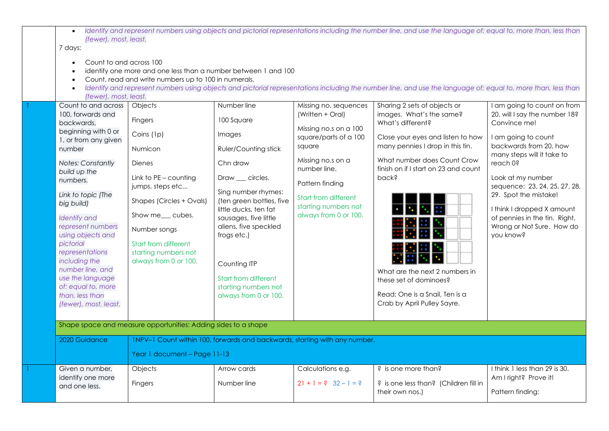| (fewer), most, least.<br>7 days:<br>Count to and across 100<br>(fewer), most, least.                                                                                                                                                                                                                                                                                                                                                    | identify one more and one less than a number between 1 and 100<br>Count, read and write numbers up to 100 in numerals.                                                                                                                      |                                                                                                                                                                                                                                                                                                                                   |                                                                                                                                                                                                                                        | Identify and represent numbers using objects and pictorial representations including the number line, and use the language of: equal to, more than, less than<br>Identify and represent numbers using objects and pictorial representations including the number line, and use the language of: equal to, more than, less than                                      |                                                                                                                                                                                                                                                                                                                                                                 |
|-----------------------------------------------------------------------------------------------------------------------------------------------------------------------------------------------------------------------------------------------------------------------------------------------------------------------------------------------------------------------------------------------------------------------------------------|---------------------------------------------------------------------------------------------------------------------------------------------------------------------------------------------------------------------------------------------|-----------------------------------------------------------------------------------------------------------------------------------------------------------------------------------------------------------------------------------------------------------------------------------------------------------------------------------|----------------------------------------------------------------------------------------------------------------------------------------------------------------------------------------------------------------------------------------|---------------------------------------------------------------------------------------------------------------------------------------------------------------------------------------------------------------------------------------------------------------------------------------------------------------------------------------------------------------------|-----------------------------------------------------------------------------------------------------------------------------------------------------------------------------------------------------------------------------------------------------------------------------------------------------------------------------------------------------------------|
| Count to and across<br>100, forwards and<br>backwards,<br>beginning with 0 or<br>1, or from any given<br>number<br><b>Notes: Constantly</b><br>build up the<br>numbers.<br>Link to topic (The<br>big build)<br><b>Identify</b> and<br>represent numbers<br>using objects and<br>pictorial<br>representations<br>including the<br>number line, and<br>use the language<br>of: equal to, more<br>than, less than<br>(fewer), most, least. | Objects<br>Fingers<br>Coins (1p)<br>Numicon<br>Dienes<br>Link to PE - counting<br>jumps, steps etc<br>Shapes (Circles + Ovals)<br>Show me__ cubes.<br>Number songs<br>Start from different<br>starting numbers not<br>always from 0 or 100. | Number line<br>100 Square<br>Images<br>Ruler/Counting stick<br>Chn draw<br>Draw __ circles.<br>Sing number rhymes:<br>(ten green bottles, five<br>little ducks, ten fat<br>sausages, five little<br>aliens, five speckled<br>frogs etc.)<br>Counting ITP<br>Start from different<br>starting numbers not<br>always from 0 or 100. | Missing no. sequences<br>(Written + Oral)<br>Missing no.s on a 100<br>square/parts of a 100<br>square<br>Missing no.s on a<br>number line.<br>Pattern finding<br>Start from different<br>starting numbers not<br>always from 0 or 100. | Sharing 2 sets of objects or<br>images. What's the same?<br>What's different?<br>Close your eyes and listen to how<br>many pennies I drop in this tin.<br>What number does Count Crow<br>finish on if I start on 23 and count<br>pack?<br>What are the next 2 numbers in<br>these set of dominoes?<br>Read: One is a Snail, Ten is a<br>Crab by April Pulley Sayre. | I am going to count on from<br>20, will I say the number 18?<br>Convince me!<br>I am going to count<br>backwards from 20, how<br>many steps will it take to<br>reach 0?<br>Look at my number<br>sequence: 23, 24, 25, 27, 28,<br>29. Spot the mistake!<br>I think I dropped X amount<br>of pennies in the tin. Right,<br>Wrong or Not Sure. How do<br>you know? |
| 2020 Guidance                                                                                                                                                                                                                                                                                                                                                                                                                           | Shape space and measure opportunities: Adding sides to a shape<br>1NPV-1 Count within 100, forwards and backwards, starting with any number.<br>Year 1 document - Page 11-13                                                                |                                                                                                                                                                                                                                                                                                                                   |                                                                                                                                                                                                                                        |                                                                                                                                                                                                                                                                                                                                                                     |                                                                                                                                                                                                                                                                                                                                                                 |
| Given a number,<br>identify one more<br>and one less.                                                                                                                                                                                                                                                                                                                                                                                   | Objects<br>Fingers                                                                                                                                                                                                                          | Arrow cards<br>Number line                                                                                                                                                                                                                                                                                                        | Calculations e.g.<br>$21 + 1 = ? 32 - 1 = ?$                                                                                                                                                                                           | ? is one more than?<br>? is one less than? (Children fill in<br>their own nos.)                                                                                                                                                                                                                                                                                     | I think 1 less than 29 is 30.<br>Am I right? Prove it!<br>Pattern finding:                                                                                                                                                                                                                                                                                      |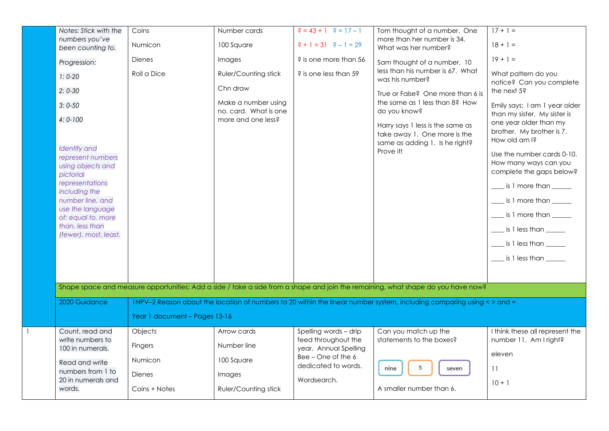| Notes: Stick with the                                                      | Coins                         | Number cards                                 | $\frac{3}{5} = 43 + 1$ $\frac{3}{5} = 17 - 1$ | Tom thought of a number. One                                                                                                     | $17 + 1 =$                                                                      |
|----------------------------------------------------------------------------|-------------------------------|----------------------------------------------|-----------------------------------------------|----------------------------------------------------------------------------------------------------------------------------------|---------------------------------------------------------------------------------|
| numbers you've                                                             | Numicon                       | 100 Square                                   | $? + 1 = 31$ $? - 1 = 29$                     | more than her number is 34.                                                                                                      | $18 + 1 =$                                                                      |
| been counting to.                                                          |                               |                                              |                                               | What was her number?                                                                                                             |                                                                                 |
| Progression:                                                               | Dienes                        | Images                                       | ? is one more than 56                         | Sam thought of a number. 10                                                                                                      | $19 + 1 =$                                                                      |
| $1:0-20$                                                                   | Roll a Dice                   | <b>Ruler/Counting stick</b>                  | ? is one less than 59                         | less than his number is 67. What<br>was his number?                                                                              | What pattern do you<br>notice? Can you complete                                 |
| $2: 0 - 30$                                                                |                               | Chn draw                                     |                                               | True or False? One more than 6 is                                                                                                | the next 5?                                                                     |
| $3:0-50$                                                                   |                               | Make a number using<br>no. card. What is one |                                               | the same as 1 less than 8? How<br>do you know?                                                                                   | Emily says: I am 1 year older<br>than my sister. My sister is                   |
| $4:0-100$                                                                  |                               | more and one less?                           |                                               | Harry says 1 less is the same as<br>take away 1. One more is the<br>same as adding 1. Is he right?                               | one year older than my<br>brother. My brother is 7.<br>How old am I?            |
| <b>Identify</b> and<br>represent numbers<br>using objects and<br>pictorial |                               |                                              |                                               | Prove it!                                                                                                                        | Use the number cards 0-10.<br>How many ways can you<br>complete the gaps below? |
| representations                                                            |                               |                                              |                                               |                                                                                                                                  | $\_$ is 1 more than $\_\_\_\_\_\_\_\$                                           |
| including the                                                              |                               |                                              |                                               |                                                                                                                                  |                                                                                 |
| number line, and                                                           |                               |                                              |                                               |                                                                                                                                  | ____ is 1 more than _____                                                       |
| use the language                                                           |                               |                                              |                                               |                                                                                                                                  | ____ is 1 more than _____                                                       |
| of: equal to, more                                                         |                               |                                              |                                               |                                                                                                                                  |                                                                                 |
| than, less than                                                            |                               |                                              |                                               |                                                                                                                                  | $\frac{1}{2}$ is 1 less than $\frac{1}{2}$                                      |
| (fewer), most, least.                                                      |                               |                                              |                                               |                                                                                                                                  | $\frac{1}{2}$ is 1 less than $\frac{1}{2}$                                      |
|                                                                            |                               |                                              |                                               |                                                                                                                                  | $\frac{1}{2}$ is 1 less than $\frac{1}{2}$                                      |
|                                                                            |                               |                                              |                                               |                                                                                                                                  |                                                                                 |
|                                                                            |                               |                                              |                                               | Shape space and measure opportunities: Add a side / take a side from a shape and join the remaining, what shape do you have now? |                                                                                 |
| 2020 Guidance                                                              |                               |                                              |                                               | 1NPV-2 Reason about the location of numbers to 20 within the linear number system, including comparing using <> and =            |                                                                                 |
|                                                                            | Year 1 document - Pages 13-16 |                                              |                                               |                                                                                                                                  |                                                                                 |
| Count, read and                                                            | Objects                       | Arrow cards                                  | Spelling words - drip                         | Can you match up the                                                                                                             | I think these all represent the                                                 |
| write numbers to<br>100 in numerals.                                       | <b>Fingers</b>                | Number line                                  | feed throughout the<br>year. Annual Spelling  | statements to the boxes?                                                                                                         | number 11. Am I right?                                                          |
| Read and write                                                             | Numicon                       | 100 Square                                   | Bee - One of the 6<br>dedicated to words.     | 5<br>nine                                                                                                                        | eleven                                                                          |
| numbers from 1 to<br>20 in numerals and                                    | <b>Dienes</b>                 | Images                                       | Wordsearch.                                   | seven                                                                                                                            | 11<br>$10 + 1$                                                                  |
| words.                                                                     | Coins + Notes                 | <b>Ruler/Counting stick</b>                  |                                               | A smaller number than 6.                                                                                                         |                                                                                 |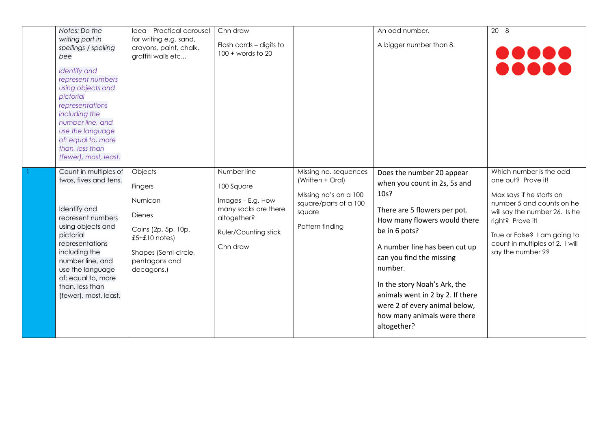| Notes: Do the<br>writing part in<br>spellings / spelling<br>bee<br><b>Identify</b> and<br>represent numbers<br>using objects and<br>pictorial<br>representations<br>including the<br>number line, and<br>use the language<br>of: equal to, more<br>than, less than<br>(fewer), most, least. | Idea - Practical carousel<br>for writing e.g. sand,<br>crayons, paint, chalk,<br>graffiti walls etc                                               | Chn draw<br>Flash cards - digits to<br>$100 + words to 20$                                                                       |                                                                                                                          | An odd number.<br>A bigger number than 8.                                                                                                                                                                                                                                                                                                                                     | $20 - 8$                                                                                                                                                                                                                                            |
|---------------------------------------------------------------------------------------------------------------------------------------------------------------------------------------------------------------------------------------------------------------------------------------------|---------------------------------------------------------------------------------------------------------------------------------------------------|----------------------------------------------------------------------------------------------------------------------------------|--------------------------------------------------------------------------------------------------------------------------|-------------------------------------------------------------------------------------------------------------------------------------------------------------------------------------------------------------------------------------------------------------------------------------------------------------------------------------------------------------------------------|-----------------------------------------------------------------------------------------------------------------------------------------------------------------------------------------------------------------------------------------------------|
| Count in multiples of<br>twos, fives and tens.<br>Identify and<br>represent numbers<br>using objects and<br>pictorial<br>representations<br>including the<br>number line, and<br>use the language<br>of: equal to, more<br>than, less than<br>(fewer), most, least.                         | Objects<br>Fingers<br>Numicon<br><b>Dienes</b><br>Coins (2p, 5p, 10p,<br>$£5 + £10$ notes)<br>Shapes (Semi-circle,<br>pentagons and<br>decagons.) | Number line<br>100 Square<br>Images - E.g. How<br>many socks are there<br>altogether?<br><b>Ruler/Counting stick</b><br>Chn draw | Missing no. sequences<br>(Written + Oral)<br>Missing no's on a 100<br>square/parts of a 100<br>square<br>Pattern finding | Does the number 20 appear<br>when you count in 2s, 5s and<br>10s?<br>There are 5 flowers per pot.<br>How many flowers would there<br>be in 6 pots?<br>A number line has been cut up<br>can you find the missing<br>number.<br>In the story Noah's Ark, the<br>animals went in 2 by 2. If there<br>were 2 of every animal below,<br>how many animals were there<br>altogether? | Which number is the odd<br>one out? Prove it!<br>Max says if he starts on<br>number 5 and counts on he<br>will say the number 26. Is he<br>right? Prove it!<br>True or False? I am going to<br>count in multiples of 2. I will<br>say the number 9? |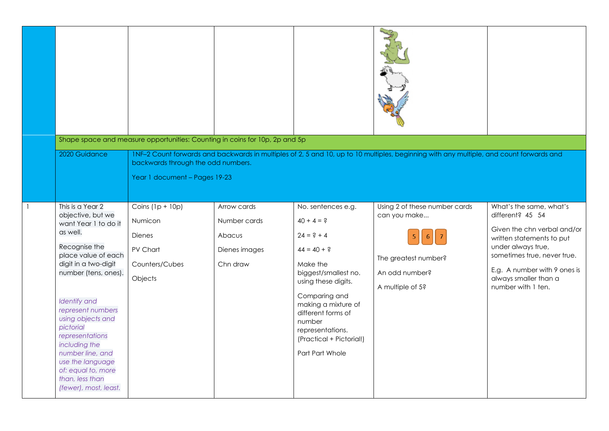|              |                                                                                                                                                                                                                                                                                                                                                                                               | Shape space and measure opportunities: Counting in coins for 10p, 2p and 5p                    |                                                                    |                                                                                                                                                                                                                                                                           |                                                                                                                                         |                                                                                                                                                                                                                                             |
|--------------|-----------------------------------------------------------------------------------------------------------------------------------------------------------------------------------------------------------------------------------------------------------------------------------------------------------------------------------------------------------------------------------------------|------------------------------------------------------------------------------------------------|--------------------------------------------------------------------|---------------------------------------------------------------------------------------------------------------------------------------------------------------------------------------------------------------------------------------------------------------------------|-----------------------------------------------------------------------------------------------------------------------------------------|---------------------------------------------------------------------------------------------------------------------------------------------------------------------------------------------------------------------------------------------|
|              | 2020 Guidance                                                                                                                                                                                                                                                                                                                                                                                 | backwards through the odd numbers.<br>Year 1 document - Pages 19-23                            |                                                                    |                                                                                                                                                                                                                                                                           | 1NF-2 Count forwards and backwards in multiples of 2, 5 and 10, up to 10 multiples, beginning with any multiple, and count forwards and |                                                                                                                                                                                                                                             |
| $\mathbf{1}$ | This is a Year 2<br>objective, but we<br>want Year 1 to do it<br>as well.<br>Recognise the<br>place value of each<br>digit in a two-digit<br>number (tens, ones).<br><b>Identify</b> and<br>represent numbers<br>using objects and<br>pictorial<br>representations<br>including the<br>number line, and<br>use the language<br>of: equal to, more<br>than, less than<br>(fewer), most, least. | Coins $(1p + 10p)$<br><b>Numicon</b><br><b>Dienes</b><br>PV Chart<br>Counters/Cubes<br>Objects | Arrow cards<br>Number cards<br>Abacus<br>Dienes images<br>Chn draw | No. sentences e.g.<br>$40 + 4 = ?$<br>$24 = ? + 4$<br>$44 = 40 + ?$<br>Make the<br>biggest/smallest no.<br>using these digits.<br>Comparing and<br>making a mixture of<br>different forms of<br>number<br>representations.<br>(Practical + Pictorial!)<br>Part Part Whole | Using 2 of these number cards<br>can you make<br>The greatest number?<br>An odd number?<br>A multiple of 5?                             | What's the same, what's<br>different? 45 54<br>Given the chn verbal and/or<br>written statements to put<br>under always true,<br>sometimes true, never true.<br>E.g. A number with 9 ones is<br>always smaller than a<br>number with 1 ten. |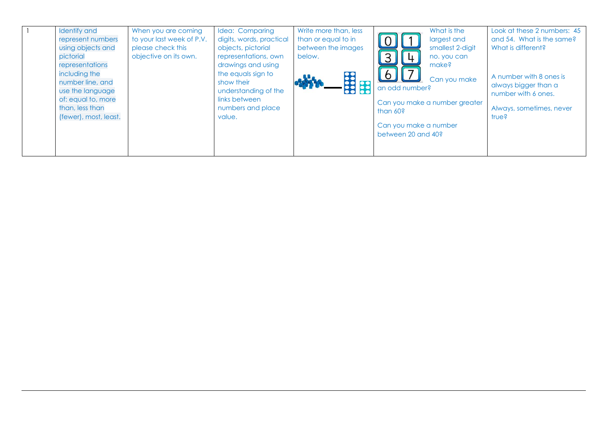| <b>Identify and</b>   | When you are coming       | Idea: Comparing          | Write more than, less             | What is the                   | Look at these 2 numbers: 45 |
|-----------------------|---------------------------|--------------------------|-----------------------------------|-------------------------------|-----------------------------|
| represent numbers     | to your last week of P.V. | digits, words, practical | than or equal to in               | largest and<br>$\cup$         | and 54. What is the same?   |
| using objects and     | please check this         | objects, pictorial       | between the images                | smallest 2-digit              | What is different?          |
| pictorial             | objective on its own.     | representations, own     | below.                            | 3<br>no. you can              |                             |
| representations       |                           | drawings and using       |                                   | make?                         |                             |
| including the         |                           | the equals sign to       |                                   | $\sigma$                      | A number with 8 ones is     |
| number line, and      |                           | show their               | <b>SSSS</b><br>$\ddot{\text{sc}}$ | Can you make                  | always bigger than a        |
| use the language      |                           | understanding of the     |                                   | an odd number?                | number with 6 ones.         |
| of: equal to, more    |                           | links between            |                                   | Can you make a number greater |                             |
| than, less than       |                           | numbers and place        |                                   | than 60?                      | Always, sometimes, never    |
| (fewer), most, least. |                           | value.                   |                                   |                               | true?                       |
|                       |                           |                          |                                   | Can you make a number         |                             |
|                       |                           |                          |                                   | between 20 and 40?            |                             |
|                       |                           |                          |                                   |                               |                             |
|                       |                           |                          |                                   |                               |                             |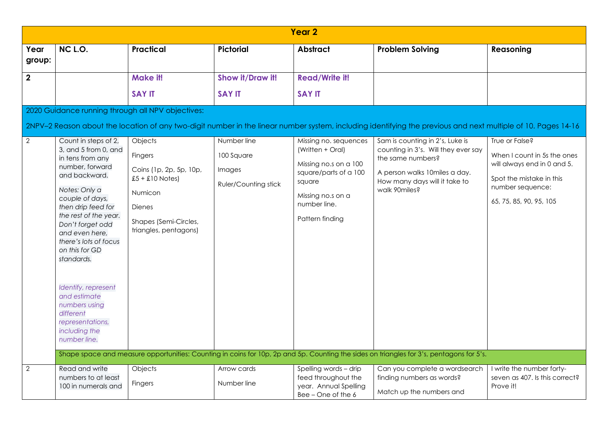|                | Year <sub>2</sub>                                                                                                                                                                                                                                                                                                                                                                                                |                                                                                                                                           |                                                                    |                                                                                                                                                               |                                                                                                                                                                                                                                                                                                                            |                                                                                                                                                         |  |  |  |  |
|----------------|------------------------------------------------------------------------------------------------------------------------------------------------------------------------------------------------------------------------------------------------------------------------------------------------------------------------------------------------------------------------------------------------------------------|-------------------------------------------------------------------------------------------------------------------------------------------|--------------------------------------------------------------------|---------------------------------------------------------------------------------------------------------------------------------------------------------------|----------------------------------------------------------------------------------------------------------------------------------------------------------------------------------------------------------------------------------------------------------------------------------------------------------------------------|---------------------------------------------------------------------------------------------------------------------------------------------------------|--|--|--|--|
| Year<br>group: | NC L.O.                                                                                                                                                                                                                                                                                                                                                                                                          | <b>Practical</b>                                                                                                                          | <b>Pictorial</b>                                                   | <b>Abstract</b>                                                                                                                                               | <b>Problem Solving</b>                                                                                                                                                                                                                                                                                                     | Reasoning                                                                                                                                               |  |  |  |  |
| $\overline{2}$ |                                                                                                                                                                                                                                                                                                                                                                                                                  | <b>Make it!</b>                                                                                                                           | Show it/Draw it!                                                   | <b>Read/Write it!</b>                                                                                                                                         |                                                                                                                                                                                                                                                                                                                            |                                                                                                                                                         |  |  |  |  |
|                |                                                                                                                                                                                                                                                                                                                                                                                                                  | <b>SAY IT</b>                                                                                                                             | <b>SAY IT</b>                                                      | <b>SAY IT</b>                                                                                                                                                 |                                                                                                                                                                                                                                                                                                                            |                                                                                                                                                         |  |  |  |  |
|                | 2020 Guidance running through all NPV objectives:                                                                                                                                                                                                                                                                                                                                                                |                                                                                                                                           |                                                                    |                                                                                                                                                               |                                                                                                                                                                                                                                                                                                                            |                                                                                                                                                         |  |  |  |  |
|                |                                                                                                                                                                                                                                                                                                                                                                                                                  |                                                                                                                                           |                                                                    |                                                                                                                                                               | 2NPV-2 Reason about the location of any two-digit number in the linear number system, including identifying the previous and next multiple of 10. Pages 14-16                                                                                                                                                              |                                                                                                                                                         |  |  |  |  |
| $\overline{2}$ | Count in steps of 2,<br>3, and 5 from 0, and<br>in tens from any<br>number, forward<br>and backward.<br>Notes: Only a<br>couple of days,<br>then drip feed for<br>the rest of the year.<br>Don't forget odd<br>and even here,<br>there's lots of focus<br>on this for GD<br>standards.<br>Identify, represent<br>and estimate<br>numbers using<br>different<br>representations,<br>including the<br>number line. | Objects<br>Fingers<br>Coins (1p, 2p, 5p, 10p,<br>$£5 + £10$ Notes)<br>Numicon<br>Dienes<br>Shapes (Semi-Circles,<br>triangles, pentagons) | Number line<br>100 Square<br>Images<br><b>Ruler/Counting stick</b> | Missing no. sequences<br>(Written + Oral)<br>Missing no.s on a 100<br>square/parts of a 100<br>square<br>Missing no.s on a<br>number line.<br>Pattern finding | Sam is counting in 2's, Luke is<br>counting in 3's. Will they ever say<br>the same numbers?<br>A person walks 10miles a day.<br>How many days will it take to<br>walk 90miles?<br>Shape space and measure opportunities: Counting in coins for 10p, 2p and 5p. Counting the sides on triangles for 3's, pentagons for 5's. | True or False?<br>When I count in 5s the ones<br>will always end in 0 and 5.<br>Spot the mistake in this<br>number sequence:<br>65, 75, 85, 90, 95, 105 |  |  |  |  |
|                |                                                                                                                                                                                                                                                                                                                                                                                                                  |                                                                                                                                           |                                                                    |                                                                                                                                                               |                                                                                                                                                                                                                                                                                                                            |                                                                                                                                                         |  |  |  |  |
| $\overline{2}$ | Read and write<br>numbers to at least<br>100 in numerals and                                                                                                                                                                                                                                                                                                                                                     | Objects<br>Fingers                                                                                                                        | Arrow cards<br>Number line                                         | Spelling words - drip<br>feed throughout the<br>year. Annual Spelling<br>Bee - One of the 6                                                                   | Can you complete a wordsearch<br>finding numbers as words?<br>Match up the numbers and                                                                                                                                                                                                                                     | I write the number forty-<br>seven as 407. Is this correct?<br>Prove it!                                                                                |  |  |  |  |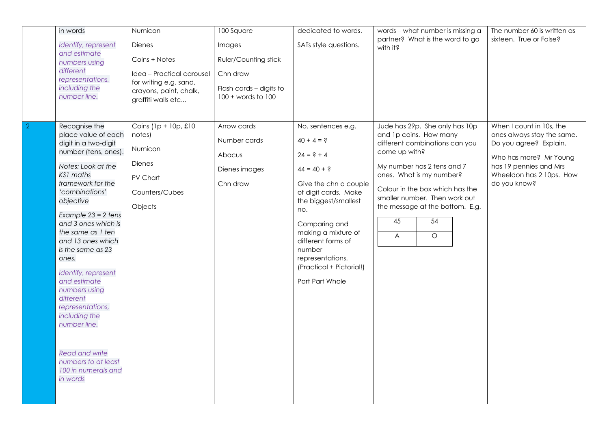| Identify, represent<br>Dienes<br>SATs style questions.<br>Images<br>with it?<br>and estimate<br>Coins + Notes<br><b>Ruler/Counting stick</b><br>numbers using<br>different<br>Idea - Practical carousel<br>Chn draw<br>representations,<br>for writing e.g. sand,<br>including the<br>Flash cards - digits to<br>crayons, paint, chalk,<br>number line.<br>$100 + words to 100$<br>graffiti walls etc<br>$\overline{2}$<br>Recognise the<br>Coins $(1p + 10p, \pounds10)$<br>Arrow cards<br>Jude has 29p. She only has 10p<br>No. sentences e.g.<br>place value of each<br>and 1p coins. How many<br>notes)<br>$40 + 4 = ?$<br>Number cards<br>digit in a two-digit<br>different combinations can you<br>Numicon<br>number (tens, ones).<br>come up with?<br>$24 = ? + 4$<br>Abacus<br><b>Dienes</b><br>Notes: Look at the<br>My number has 2 tens and 7<br>$44 = 40 + ?$<br>Dienes images<br>KS1 maths<br>ones. What is my number?<br>PV Chart<br>framework for the<br>do you know?<br>Chn draw<br>Give the chn a couple<br>Colour in the box which has the<br>'combinations'<br>of digit cards. Make<br>Counters/Cubes<br>smaller number. Then work out<br>objective<br>the biggest/smallest<br>Objects<br>the message at the bottom. E.g.<br>no.<br>Example $23 = 2$ tens<br>45<br>54<br>and 3 ones which is<br>Comparing and<br>the same as 1 ten<br>making a mixture of<br>$\overline{O}$<br>$\overline{A}$<br>and 13 ones which<br>different forms of<br>is the same as 23<br>number<br>representations.<br>ones.<br>(Practical + Pictorial!)<br>Identify, represent<br>and estimate<br>Part Part Whole | in words | Numicon | 100 Square | dedicated to words. | words - what number is missing a | The number 60 is written as                                                                                                                                      |
|---------------------------------------------------------------------------------------------------------------------------------------------------------------------------------------------------------------------------------------------------------------------------------------------------------------------------------------------------------------------------------------------------------------------------------------------------------------------------------------------------------------------------------------------------------------------------------------------------------------------------------------------------------------------------------------------------------------------------------------------------------------------------------------------------------------------------------------------------------------------------------------------------------------------------------------------------------------------------------------------------------------------------------------------------------------------------------------------------------------------------------------------------------------------------------------------------------------------------------------------------------------------------------------------------------------------------------------------------------------------------------------------------------------------------------------------------------------------------------------------------------------------------------------------------------------------------------------------------------------|----------|---------|------------|---------------------|----------------------------------|------------------------------------------------------------------------------------------------------------------------------------------------------------------|
|                                                                                                                                                                                                                                                                                                                                                                                                                                                                                                                                                                                                                                                                                                                                                                                                                                                                                                                                                                                                                                                                                                                                                                                                                                                                                                                                                                                                                                                                                                                                                                                                               |          |         |            |                     | partner? What is the word to go  | sixteen. True or False?                                                                                                                                          |
| numbers using<br>different<br>representations,<br>including the<br>number line.<br><b>Read and write</b><br>numbers to at least<br>100 in numerals and<br>in words                                                                                                                                                                                                                                                                                                                                                                                                                                                                                                                                                                                                                                                                                                                                                                                                                                                                                                                                                                                                                                                                                                                                                                                                                                                                                                                                                                                                                                            |          |         |            |                     |                                  | When I count in 10s, the<br>ones always stay the same.<br>Do you agree? Explain.<br>Who has more? Mr Young<br>has 19 pennies and Mrs<br>Wheeldon has 2 10ps. How |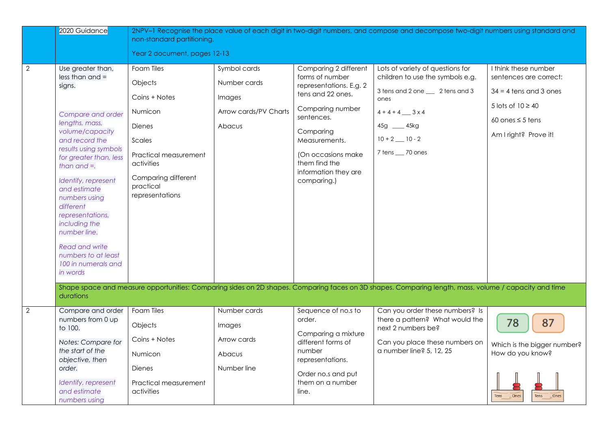|                | 2020 Guidance                                                                                                                                                                                                                                                                                                                                                                                                  | non-standard partitioning.<br>Year 2 document, pages 12-13                                                                                                          |                                                                           |                                                                                                                                                                                                                                        | 2NPV-1 Recognise the place value of each digit in two-digit numbers, and compose and decompose two-digit numbers using standard and                                                          |                                                                                                                                                       |
|----------------|----------------------------------------------------------------------------------------------------------------------------------------------------------------------------------------------------------------------------------------------------------------------------------------------------------------------------------------------------------------------------------------------------------------|---------------------------------------------------------------------------------------------------------------------------------------------------------------------|---------------------------------------------------------------------------|----------------------------------------------------------------------------------------------------------------------------------------------------------------------------------------------------------------------------------------|----------------------------------------------------------------------------------------------------------------------------------------------------------------------------------------------|-------------------------------------------------------------------------------------------------------------------------------------------------------|
| $\overline{2}$ | Use greater than,<br>$less than and =$<br>signs.<br>Compare and order<br>lengths, mass,<br>volume/capacity<br>and record the<br>results using symbols<br>for greater than, less<br>than and $=$ .<br>Identify, represent<br>and estimate<br>numbers using<br>different<br>representations,<br>including the<br>number line.<br><b>Read and write</b><br>numbers to at least<br>100 in numerals and<br>in words | Foam Tiles<br>Objects<br>Coins + Notes<br>Numicon<br>Dienes<br>Scales<br>Practical measurement<br>activities<br>Comparing different<br>practical<br>representations | Symbol cards<br>Number cards<br>Images<br>Arrow cards/PV Charts<br>Abacus | Comparing 2 different<br>forms of number<br>representations. E.g. 2<br>tens and 22 ones.<br>Comparing number<br>sentences.<br>Comparing<br>Measurements.<br>(On occasions make<br>them find the<br>information they are<br>comparing.) | Lots of variety of questions for<br>children to use the symbols e.g.<br>3 tens and 2 one __ 2 tens and 3<br>ones<br>$4 + 4 + 4$ 3 x 4<br>45g __ 45kg<br>$10 + 2$ 10 - 2<br>7 tens __ 70 ones | I think these number<br>sentences are correct:<br>$34 = 4$ tens and 3 ones<br>5 lots of $10 \ge 40$<br>60 ones $\leq$ 5 tens<br>Am I right? Prove it! |
|                | durations                                                                                                                                                                                                                                                                                                                                                                                                      |                                                                                                                                                                     |                                                                           |                                                                                                                                                                                                                                        | Shape space and measure opportunities: Comparing sides on 2D shapes. Comparing faces on 3D shapes. Comparing length, mass, volume / capacity and time                                        |                                                                                                                                                       |
| $\overline{2}$ | Compare and order<br>numbers from 0 up<br>to 100.<br>Notes: Compare for<br>the start of the<br>objective, then<br>order.<br>Identify, represent<br>and estimate<br>numbers using                                                                                                                                                                                                                               | Foam Tiles<br>Objects<br>Coins + Notes<br>Numicon<br><b>Dienes</b><br>Practical measurement<br>activities                                                           | Number cards<br>Images<br>Arrow cards<br>Abacus<br>Number line            | Sequence of no.s to<br>order.<br>Comparing a mixture<br>different forms of<br>number<br>representations.<br>Order no.s and put<br>them on a number<br>line.                                                                            | Can you order these numbers? Is<br>there a pattern? What would the<br>next 2 numbers be?<br>Can you place these numbers on<br>a number line? 5, 12, 25                                       | 78<br>87<br>Which is the bigger number?<br>How do you know?<br><b>Tens</b><br>Tens<br>Ones<br>Ones                                                    |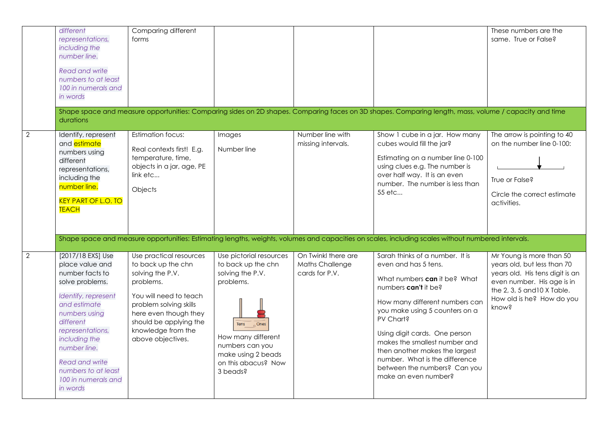|                | different<br>representations,<br>including the<br>number line.<br><b>Read and write</b><br>numbers to at least<br>100 in numerals and<br>in words<br>durations                                                                                                                          | Comparing different<br>forms                                                                                                                                                                                                     |                                                                                                                                                                                                             |                                                          | Shape space and measure opportunities: Comparing sides on 2D shapes. Comparing faces on 3D shapes. Comparing length, mass, volume / capacity and time                                                                                                                                                                                                                                                                                                                                                                                                | These numbers are the<br>same. True or False?                                                                                                                                                 |
|----------------|-----------------------------------------------------------------------------------------------------------------------------------------------------------------------------------------------------------------------------------------------------------------------------------------|----------------------------------------------------------------------------------------------------------------------------------------------------------------------------------------------------------------------------------|-------------------------------------------------------------------------------------------------------------------------------------------------------------------------------------------------------------|----------------------------------------------------------|------------------------------------------------------------------------------------------------------------------------------------------------------------------------------------------------------------------------------------------------------------------------------------------------------------------------------------------------------------------------------------------------------------------------------------------------------------------------------------------------------------------------------------------------------|-----------------------------------------------------------------------------------------------------------------------------------------------------------------------------------------------|
| 2              | Identify, represent<br>and <i>estimate</i><br>numbers using<br>different<br>representations,<br>including the<br>number line.<br><b>KEY PART OF L.O. TO</b><br><b>TEACH</b>                                                                                                             | Estimation focus:<br>Real contexts first! E.g.<br>temperature, time,<br>objects in a jar, age, PE<br>link etc<br>Objects                                                                                                         | Images<br>Number line                                                                                                                                                                                       | Number line with<br>missing intervals.                   | Show 1 cube in a jar. How many<br>cubes would fill the jar?<br>Estimating on a number line 0-100<br>using clues e.g. The number is<br>over half way. It is an even<br>number. The number is less than<br>55 etc                                                                                                                                                                                                                                                                                                                                      | The arrow is pointing to 40<br>on the number line 0-100:<br>True or False?<br>Circle the correct estimate<br>activities.                                                                      |
| $\overline{2}$ | [2017/18 EXS] Use<br>place value and<br>number facts to<br>solve problems.<br>Identify, represent<br>and estimate<br>numbers using<br>different<br>representations,<br>including the<br>number line.<br><b>Read and write</b><br>numbers to at least<br>100 in numerals and<br>in words | Use practical resources<br>to back up the chn<br>solving the P.V.<br>problems.<br>You will need to teach<br>problem solving skills<br>here even though they<br>should be applying the<br>knowledge from the<br>above objectives. | Use pictorial resources<br>to back up the chn<br>solving the P.V.<br>problems.<br>$\sqrt{2}$ Ones<br>Tens<br>How many different<br>numbers can you<br>make using 2 beads<br>on this abacus? Now<br>3 beads? | On Twinkl there are<br>Maths Challenge<br>cards for P.V. | Shape space and measure opportunities: Estimating lengths, weights, volumes and capacities on scales, including scales without numbered intervals.<br>Sarah thinks of a number. It is<br>even and has 5 tens.<br>What numbers can it be? What<br>numbers can't it be?<br>How many different numbers can<br>you make using 5 counters on a<br>PV Chart?<br>Using digit cards. One person<br>makes the smallest number and<br>then another makes the largest<br>number. What is the difference<br>between the numbers? Can you<br>make an even number? | Mr Young is more than 50<br>years old, but less than 70<br>years old. His tens digit is an<br>even number. His age is in<br>the 2, 3, 5 and 10 X Table.<br>How old is he? How do you<br>know? |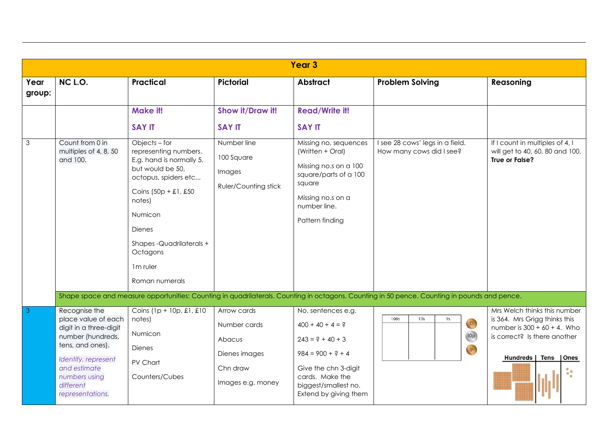|                |                                                                                                                                                                                                  |                                                                                                                                                                                                                                                                |                                                                                         | Year <sub>3</sub>                                                                                                                                                                 |                                                                                                                                              |                                                                                                                                                                 |
|----------------|--------------------------------------------------------------------------------------------------------------------------------------------------------------------------------------------------|----------------------------------------------------------------------------------------------------------------------------------------------------------------------------------------------------------------------------------------------------------------|-----------------------------------------------------------------------------------------|-----------------------------------------------------------------------------------------------------------------------------------------------------------------------------------|----------------------------------------------------------------------------------------------------------------------------------------------|-----------------------------------------------------------------------------------------------------------------------------------------------------------------|
| Year<br>group: | NC L.O.                                                                                                                                                                                          | <b>Practical</b>                                                                                                                                                                                                                                               | <b>Pictorial</b>                                                                        | <b>Abstract</b>                                                                                                                                                                   | <b>Problem Solving</b>                                                                                                                       | Reasoning                                                                                                                                                       |
|                |                                                                                                                                                                                                  | Make it!<br><b>SAY IT</b>                                                                                                                                                                                                                                      | Show it/Draw it!<br><b>SAY IT</b>                                                       | <b>Read/Write it!</b><br><b>SAY IT</b>                                                                                                                                            |                                                                                                                                              |                                                                                                                                                                 |
| $\mathfrak{Z}$ | Count from 0 in<br>multiples of 4, 8, 50<br>and 100.                                                                                                                                             | Objects - for<br>representing numbers.<br>E.g. hand is normally 5,<br>but would be 50,<br>octopus, spiders etc<br>Coins $(50p + £1, £50$<br>notes)<br>Numicon<br><b>Dienes</b><br>Shapes-Quadrilaterals+<br>Octagons<br>1 <sub>m</sub> ruler<br>Roman numerals | Number line<br>100 Square<br>Images<br><b>Ruler/Counting stick</b>                      | Missing no. sequences<br>(Written + Oral)<br>Missing no.s on a 100<br>square/parts of a 100<br>square<br>Missing no.s on a<br>number line.<br>Pattern finding                     | I see 28 cows' legs in a field.<br>How many cows did I see?                                                                                  | If I count in multiples of 4, I<br>will get to 40, 60, 80 and 100.<br>True or False?                                                                            |
|                |                                                                                                                                                                                                  |                                                                                                                                                                                                                                                                |                                                                                         |                                                                                                                                                                                   | Shape space and measure opportunities: Counting in quadrilaterals. Counting in octagons. Counting in 50 pence. Counting in pounds and pence. |                                                                                                                                                                 |
| $\beta$        | Recognise the<br>place value of each<br>digit in a three-digit<br>number (hundreds,<br>tens, and ones).<br>Identify, represent<br>and estimate<br>numbers using<br>different<br>representations. | Coins $(1p + 10p, \pounds1, \pounds10)$<br>notes)<br>Numicon<br>Dienes<br>PV Chart<br>Counters/Cubes                                                                                                                                                           | Arrow cards<br>Number cards<br>Abacus<br>Dienes images<br>Chn draw<br>Images e.g. money | No. sentences e.g.<br>$400 + 40 + 4 = ?$<br>$243 = ? + 40 + 3$<br>$984 = 900 + ? + 4$<br>Give the chn 3-digit<br>cards. Make the<br>biggest/smallest no.<br>Extend by giving them | 100s<br>10 <sub>s</sub><br>1 <sub>s</sub><br>EI<br><b>IOp</b><br>$\mathsf{lp}$                                                               | Mrs Welch thinks this number<br>is 364. Mrs Grigg thinks this<br>number is $300 + 60 + 4$ . Who<br>is correct? Is there another<br>Hundreds   Tens   Ones<br>h, |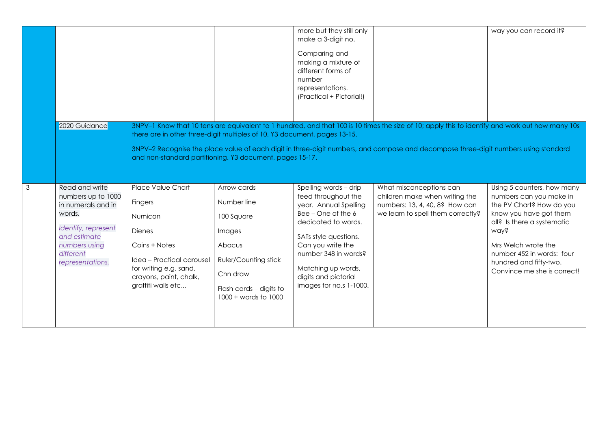|                         |                                                                                                                                                               |                                                                                                                                                                                  |                                                                                                                                                              | more but they still only<br>make a 3-digit no.<br>Comparing and<br>making a mixture of<br>different forms of<br>number<br>representations.<br>(Practical + Pictorial!)                                                                                            |                                                                                                                                                                                                                                                                                        | way you can record it?                                                                                                                                                                                                                                         |
|-------------------------|---------------------------------------------------------------------------------------------------------------------------------------------------------------|----------------------------------------------------------------------------------------------------------------------------------------------------------------------------------|--------------------------------------------------------------------------------------------------------------------------------------------------------------|-------------------------------------------------------------------------------------------------------------------------------------------------------------------------------------------------------------------------------------------------------------------|----------------------------------------------------------------------------------------------------------------------------------------------------------------------------------------------------------------------------------------------------------------------------------------|----------------------------------------------------------------------------------------------------------------------------------------------------------------------------------------------------------------------------------------------------------------|
|                         | 2020 Guidance                                                                                                                                                 | there are in other three-digit multiples of 10. Y3 document, pages 13-15.<br>and non-standard partitioning. Y3 document, pages 15-17.                                            |                                                                                                                                                              |                                                                                                                                                                                                                                                                   | 3NPV-1 Know that 10 tens are equivalent to 1 hundred, and that 100 is 10 times the size of 10; apply this to identify and work out how many 10s<br>3NPV-2 Recognise the place value of each digit in three-digit numbers, and compose and decompose three-digit numbers using standard |                                                                                                                                                                                                                                                                |
| $\overline{\mathbf{3}}$ | Read and write<br>numbers up to 1000<br>in numerals and in<br>words.<br>Identify, represent<br>and estimate<br>numbers using<br>different<br>representations. | Place Value Chart<br>Fingers<br>Numicon<br><b>Dienes</b><br>Coins + Notes<br>Idea – Practical carousel<br>for writing e.g. sand,<br>crayons, paint, chalk,<br>graffiti walls etc | Arrow cards<br>Number line<br>100 Square<br>Images<br>Abacus<br><b>Ruler/Counting stick</b><br>Chn draw<br>Flash cards - digits to<br>$1000 + words to 1000$ | Spelling words - drip<br>feed throughout the<br>year. Annual Spelling<br>Bee - One of the 6<br>dedicated to words.<br>SATs style questions.<br>Can you write the<br>number 348 in words?<br>Matching up words,<br>digits and pictorial<br>images for no.s 1-1000. | What misconceptions can<br>children make when writing the<br>numbers: 13, 4, 40, 8? How can<br>we learn to spell them correctly?                                                                                                                                                       | Using 5 counters, how many<br>numbers can you make in<br>the PV Chart? How do you<br>know you have got them<br>all? Is there a systematic<br>way?<br>Mrs Welch wrote the<br>number 452 in words: four<br>hundred and fifty-two.<br>Convince me she is correct! |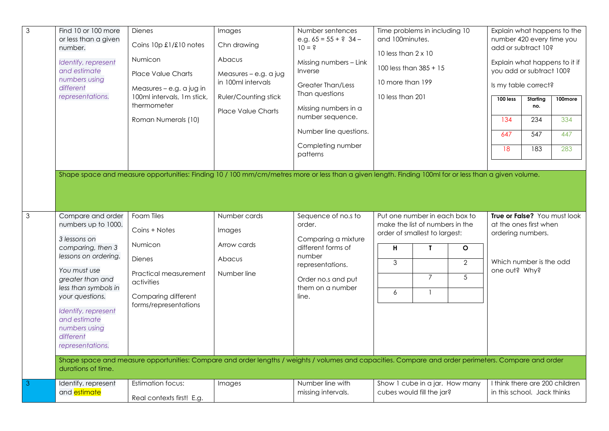| $\overline{3}$ | Find 10 or 100 more<br>or less than a given<br>number.<br>Identify, represent<br>and estimate<br>numbers using<br>different<br>representations.                                                                                                                               | Dienes<br>Coins 10p £1/£10 notes<br>Numicon<br><b>Place Value Charts</b><br>Measures - e.g. a jug in<br>100ml intervals, 1m stick,<br>thermometer<br>Roman Numerals (10) | Images<br>Chn drawing<br>Abacus<br>Measures - e.g. a jug<br>in 100ml intervals<br><b>Ruler/Counting stick</b><br><b>Place Value Charts</b> | Number sentences<br>e.g. $65 = 55 + ?$ 34 -<br>$10 = 3$<br>Missing numbers - Link<br>Inverse<br><b>Greater Than/Less</b><br>Than questions<br>Missing numbers in a<br>number sequence.<br>Number line questions.<br>Completing number<br>patterns | Time problems in including 10<br>and 100minutes.<br>10 less than $2 \times 10$<br>100 less than 385 + 15<br>10 more than 199<br>10 less than 201<br>Shape space and measure opportunities: Finding 10 / 100 mm/cm/metres more or less than a given length. Finding 100ml for or less than a given volume. | Explain what happens to the<br>number 420 every time you<br>add or subtract 10?<br>Explain what happens to it if<br>you add or subtract 100?<br>Is my table correct?<br>$100$ less<br>Starting<br>100more<br>no.<br>134<br>234<br>334<br>647<br>547<br>447<br>283<br>18<br>183 |
|----------------|-------------------------------------------------------------------------------------------------------------------------------------------------------------------------------------------------------------------------------------------------------------------------------|--------------------------------------------------------------------------------------------------------------------------------------------------------------------------|--------------------------------------------------------------------------------------------------------------------------------------------|---------------------------------------------------------------------------------------------------------------------------------------------------------------------------------------------------------------------------------------------------|-----------------------------------------------------------------------------------------------------------------------------------------------------------------------------------------------------------------------------------------------------------------------------------------------------------|--------------------------------------------------------------------------------------------------------------------------------------------------------------------------------------------------------------------------------------------------------------------------------|
| $\overline{3}$ | Compare and order<br>numbers up to 1000.<br>3 lessons on<br>comparing, then 3<br>lessons on ordering.<br>You must use<br>greater than and<br>less than symbols in<br>your questions.<br>Identify, represent<br>and estimate<br>numbers using<br>different<br>representations. | Foam Tiles<br>Coins + Notes<br>Numicon<br>Dienes<br>Practical measurement<br>activities<br>Comparing different<br>forms/representations                                  | Number cards<br>Images<br>Arrow cards<br>Abacus<br>Number line                                                                             | Sequence of no.s to<br>order.<br>Comparing a mixture<br>different forms of<br>number<br>representations.<br>Order no.s and put<br>them on a number<br>line.                                                                                       | Put one number in each box to<br>make the list of numbers in the<br>order of smallest to largest:<br>н<br>$\mathbf{L}$<br>$\circ$<br>$\mathfrak{Z}$<br>$\overline{2}$<br>$\overline{7}$<br>5<br>6                                                                                                         | True or False? You must look<br>at the ones first when<br>ordering numbers.<br>Which number is the odd<br>one out? Why?                                                                                                                                                        |
|                | durations of time.                                                                                                                                                                                                                                                            |                                                                                                                                                                          |                                                                                                                                            |                                                                                                                                                                                                                                                   | Shape space and measure opportunities: Compare and order lengths / weights / volumes and capacities. Compare and order perimeters. Compare and order                                                                                                                                                      |                                                                                                                                                                                                                                                                                |
| $\overline{3}$ | Identify, represent<br>and <i>estimate</i>                                                                                                                                                                                                                                    | <b>Estimation focus:</b><br>Real contexts first! E.g.                                                                                                                    | Images                                                                                                                                     | Number line with<br>missing intervals.                                                                                                                                                                                                            | Show 1 cube in a jar. How many<br>cubes would fill the jar?                                                                                                                                                                                                                                               | I think there are 200 children<br>in this school. Jack thinks                                                                                                                                                                                                                  |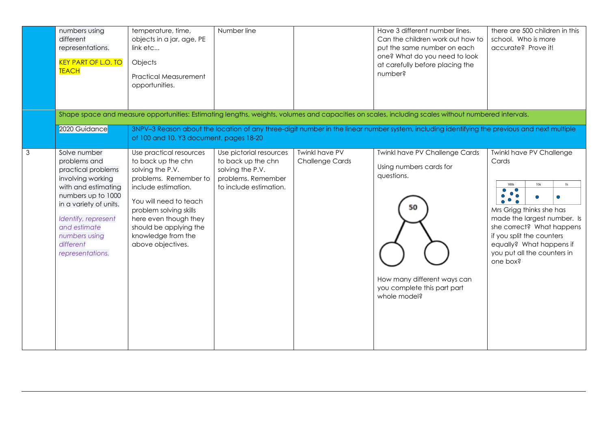|   | numbers using<br>different<br>representations.<br><b>KEY PART OF L.O. TO</b><br><b>TEACH</b>                                                                                                                                            | temperature, time,<br>objects in a jar, age, PE<br>link etc<br>Objects<br><b>Practical Measurement</b><br>opportunities.                                                                                                                                            | Number line                                                                                                       |                                                 | Have 3 different number lines.<br>Can the children work out how to<br>put the same number on each<br>one? What do you need to look<br>at carefully before placing the<br>number?                                                                                                                   | there are 500 children in this<br>school. Who is more<br>accurate? Prove it!                                                                                                                                                                                                       |
|---|-----------------------------------------------------------------------------------------------------------------------------------------------------------------------------------------------------------------------------------------|---------------------------------------------------------------------------------------------------------------------------------------------------------------------------------------------------------------------------------------------------------------------|-------------------------------------------------------------------------------------------------------------------|-------------------------------------------------|----------------------------------------------------------------------------------------------------------------------------------------------------------------------------------------------------------------------------------------------------------------------------------------------------|------------------------------------------------------------------------------------------------------------------------------------------------------------------------------------------------------------------------------------------------------------------------------------|
|   | 2020 Guidance                                                                                                                                                                                                                           |                                                                                                                                                                                                                                                                     |                                                                                                                   |                                                 | Shape space and measure opportunities: Estimating lengths, weights, volumes and capacities on scales, including scales without numbered intervals.<br>3NPV-3 Reason about the location of any three-digit number in the linear number system, including identifying the previous and next multiple |                                                                                                                                                                                                                                                                                    |
|   |                                                                                                                                                                                                                                         | of 100 and 10. Y3 document, pages 18-20                                                                                                                                                                                                                             |                                                                                                                   |                                                 |                                                                                                                                                                                                                                                                                                    |                                                                                                                                                                                                                                                                                    |
| 3 | Solve number<br>problems and<br>practical problems<br>involving working<br>with and estimating<br>numbers up to 1000<br>in a variety of units.<br>Identify, represent<br>and estimate<br>numbers using<br>different<br>representations. | Use practical resources<br>to back up the chn<br>solving the P.V.<br>problems. Remember to<br>include estimation.<br>You will need to teach<br>problem solving skills<br>here even though they<br>should be applying the<br>knowledge from the<br>above objectives. | Use pictorial resources<br>to back up the chn<br>solving the P.V.<br>problems. Remember<br>to include estimation. | <b>Twinkl have PV</b><br><b>Challenge Cards</b> | <b>Twinkl have PV Challenge Cards</b><br>Using numbers cards for<br>questions.<br>50<br>How many different ways can<br>you complete this part part<br>whole model?                                                                                                                                 | <b>Twinkl have PV Challenge</b><br>Cards<br>10 <sub>s</sub><br>1s<br>100s<br>$\bullet$<br>Mrs Grigg thinks she has<br>made the largest number. Is<br>she correct? What happens<br>if you split the counters<br>equally? What happens if<br>you put all the counters in<br>one box? |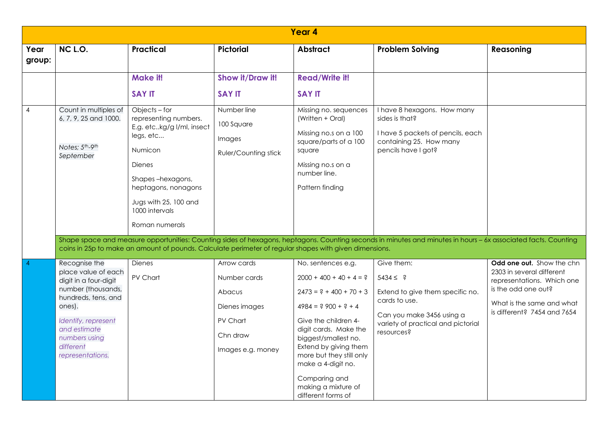|                | Year 4                                                                                                                                                                                                        |                                                                                                                                                                                                                                                                                                                                |                                                                                                     |                                                                                                                                                                                                                                                                                                                          |                                                                                                                                                                                                                                                                                                        |                                                                                                                                                                         |  |  |  |  |
|----------------|---------------------------------------------------------------------------------------------------------------------------------------------------------------------------------------------------------------|--------------------------------------------------------------------------------------------------------------------------------------------------------------------------------------------------------------------------------------------------------------------------------------------------------------------------------|-----------------------------------------------------------------------------------------------------|--------------------------------------------------------------------------------------------------------------------------------------------------------------------------------------------------------------------------------------------------------------------------------------------------------------------------|--------------------------------------------------------------------------------------------------------------------------------------------------------------------------------------------------------------------------------------------------------------------------------------------------------|-------------------------------------------------------------------------------------------------------------------------------------------------------------------------|--|--|--|--|
| Year<br>group: | NC L.O.                                                                                                                                                                                                       | <b>Practical</b>                                                                                                                                                                                                                                                                                                               | <b>Pictorial</b>                                                                                    | <b>Abstract</b>                                                                                                                                                                                                                                                                                                          | <b>Problem Solving</b>                                                                                                                                                                                                                                                                                 | Reasoning                                                                                                                                                               |  |  |  |  |
|                |                                                                                                                                                                                                               | Make it!<br><b>SAY IT</b>                                                                                                                                                                                                                                                                                                      | Show it/Draw it!<br><b>SAY IT</b>                                                                   | <b>Read/Write it!</b><br><b>SAY IT</b>                                                                                                                                                                                                                                                                                   |                                                                                                                                                                                                                                                                                                        |                                                                                                                                                                         |  |  |  |  |
| 4              | Count in multiples of<br>6, 7, 9, 25 and 1000.<br>Notes; 5 <sup>th</sup> -9 <sup>th</sup><br>September                                                                                                        | Objects - for<br>representing numbers.<br>E.g. etckg/g I/ml, insect<br>legs, etc<br>Numicon<br><b>Dienes</b><br>Shapes-hexagons,<br>heptagons, nonagons<br>Jugs with 25, 100 and<br>1000 intervals<br>Roman numerals<br>coins in 25p to make an amount of pounds. Calculate perimeter of regular shapes with given dimensions. | Number line<br>100 Square<br>Images<br>Ruler/Counting stick                                         | Missing no. sequences<br>(Written + Oral)<br>Missing no.s on a 100<br>square/parts of a 100<br>square<br>Missing no.s on a<br>number line.<br>Pattern finding                                                                                                                                                            | I have 8 hexagons. How many<br>sides is that?<br>I have 5 packets of pencils, each<br>containing 25. How many<br>pencils have I got?<br>Shape space and measure opportunities: Counting sides of hexagons, heptagons. Counting seconds in minutes and minutes in hours - 6x associated facts. Counting |                                                                                                                                                                         |  |  |  |  |
|                | Recognise the<br>place value of each<br>digit in a four-digit<br>number (thousands,<br>hundreds, tens, and<br>ones).<br>Identify, represent<br>and estimate<br>numbers using<br>different<br>representations. | <b>Dienes</b><br>PV Chart                                                                                                                                                                                                                                                                                                      | Arrow cards<br>Number cards<br>Abacus<br>Dienes images<br>PV Chart<br>Chn draw<br>Images e.g. money | No. sentences e.g.<br>$2000 + 400 + 40 + 4 = ?$<br>$2473 = ? + 400 + 70 + 3$<br>$4984 = ? 900 + ? + 4$<br>Give the children 4-<br>digit cards. Make the<br>biggest/smallest no.<br>Extend by giving them<br>more but they still only<br>make a 4-digit no.<br>Comparing and<br>making a mixture of<br>different forms of | Give them:<br>$5434 \leq ?$<br>Extend to give them specific no.<br>cards to use.<br>Can you make 3456 using a<br>variety of practical and pictorial<br>resources?                                                                                                                                      | Odd one out. Show the chn<br>2303 in several different<br>representations. Which one<br>is the odd one out?<br>What is the same and what<br>is different? 7454 and 7654 |  |  |  |  |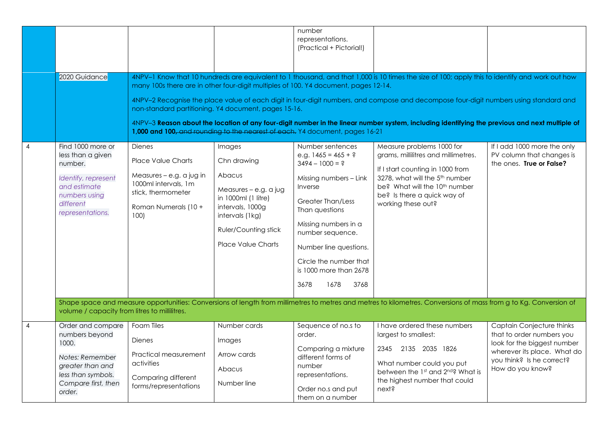|                |                                                                                                                                            |                                                                                                                                                                                                                             |                                                                                                                                                                             | number<br>representations.<br>(Practical + Pictorial!)                                                                                                                                                                                                                                              |                                                                                                                                                                                                                                                                                                                                                                                                                                           |                                                                                                                                                                       |
|----------------|--------------------------------------------------------------------------------------------------------------------------------------------|-----------------------------------------------------------------------------------------------------------------------------------------------------------------------------------------------------------------------------|-----------------------------------------------------------------------------------------------------------------------------------------------------------------------------|-----------------------------------------------------------------------------------------------------------------------------------------------------------------------------------------------------------------------------------------------------------------------------------------------------|-------------------------------------------------------------------------------------------------------------------------------------------------------------------------------------------------------------------------------------------------------------------------------------------------------------------------------------------------------------------------------------------------------------------------------------------|-----------------------------------------------------------------------------------------------------------------------------------------------------------------------|
|                | 2020 Guidance                                                                                                                              | many 100s there are in other four-digit multiples of 100. Y4 document, pages 12-14.<br>non-standard partitioning. Y4 document, pages 15-16.<br>1,000 and 100, and rounding to the nearest of each. Y4 document, pages 16-21 |                                                                                                                                                                             |                                                                                                                                                                                                                                                                                                     | 4NPV-1 Know that 10 hundreds are equivalent to 1 thousand, and that 1,000 is 10 times the size of 100; apply this to identify and work out how<br>4NPV-2 Recognise the place value of each digit in four-digit numbers, and compose and decompose four-digit numbers using standard and<br>4NPV-3 Reason about the location of any four-digit number in the linear number system, including identifying the previous and next multiple of |                                                                                                                                                                       |
| 4              | Find 1000 more or<br>less than a given<br>number.<br>Identify, represent<br>and estimate<br>numbers using<br>different<br>representations. | <b>Dienes</b><br><b>Place Value Charts</b><br>Measures - e.g. a jug in<br>1000ml intervals, 1m<br>stick, thermometer<br>Roman Numerals (10 +<br>100                                                                         | Images<br>Chn drawing<br>Abacus<br>Measures - e.g. a jug<br>in 1000ml (1 litre)<br>intervals, 1000g<br>intervals (1kg)<br>Ruler/Counting stick<br><b>Place Value Charts</b> | Number sentences<br>e.g. $1465 = 465 + ?$<br>$3494 - 1000 = ?$<br>Missing numbers - Link<br>Inverse<br><b>Greater Than/Less</b><br>Than questions<br>Missing numbers in a<br>number sequence.<br>Number line questions.<br>Circle the number that<br>is 1000 more than 2678<br>3678<br>1678<br>3768 | Measure problems 1000 for<br>grams, millilitres and millimetres.<br>If I start counting in 1000 from<br>3278, what will the 5 <sup>th</sup> number<br>be? What will the 10 <sup>th</sup> number<br>be? Is there a quick way of<br>working these out?                                                                                                                                                                                      | If I add 1000 more the only<br>PV column that changes is<br>the ones. True or False?                                                                                  |
|                | volume / capacity from litres to millilitres.                                                                                              |                                                                                                                                                                                                                             |                                                                                                                                                                             |                                                                                                                                                                                                                                                                                                     | Shape space and measure opportunities: Conversions of length from millimetres to metres and metres to kilometres. Conversions of mass from g to Kg. Conversion of                                                                                                                                                                                                                                                                         |                                                                                                                                                                       |
| $\overline{4}$ | Order and compare<br>numbers beyond<br>1000.<br>Notes: Remember<br>greater than and<br>less than symbols.<br>Compare first, then<br>order. | Foam Tiles<br><b>Dienes</b><br>Practical measurement<br>activities<br>Comparing different<br>forms/representations                                                                                                          | Number cards<br>Images<br>Arrow cards<br>Abacus<br>Number line                                                                                                              | Sequence of no.s to<br>order.<br>Comparing a mixture<br>different forms of<br>number<br>representations.<br>Order no.s and put                                                                                                                                                                      | I have ordered these numbers<br>largest to smallest:<br>2345 2135 2035 1826<br>What number could you put<br>between the 1st and 2nd? What is<br>the highest number that could<br>next?                                                                                                                                                                                                                                                    | Captain Conjecture thinks<br>that to order numbers you<br>look for the biggest number<br>wherever its place. What do<br>you think? Is he correct?<br>How do you know? |
|                |                                                                                                                                            |                                                                                                                                                                                                                             |                                                                                                                                                                             | them on a number                                                                                                                                                                                                                                                                                    |                                                                                                                                                                                                                                                                                                                                                                                                                                           |                                                                                                                                                                       |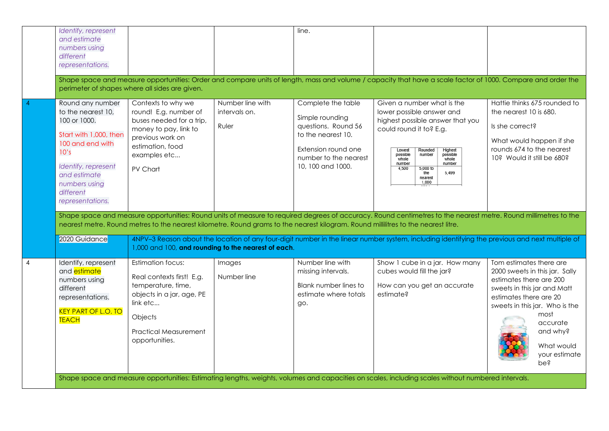|                | Identify, represent<br>and estimate<br>numbers using<br>different<br>representations.                                                                                                                                                                                                                 |                                                                                                                                                                                   |                                            | line.                                                                                                                                                   | Shape space and measure opportunities: Order and compare units of length, mass and volume / capacity that have a scale factor of 1000. Compare and order the                                                                                                                            |                                                                                                                                                                                                                                                       |  |
|----------------|-------------------------------------------------------------------------------------------------------------------------------------------------------------------------------------------------------------------------------------------------------------------------------------------------------|-----------------------------------------------------------------------------------------------------------------------------------------------------------------------------------|--------------------------------------------|---------------------------------------------------------------------------------------------------------------------------------------------------------|-----------------------------------------------------------------------------------------------------------------------------------------------------------------------------------------------------------------------------------------------------------------------------------------|-------------------------------------------------------------------------------------------------------------------------------------------------------------------------------------------------------------------------------------------------------|--|
|                |                                                                                                                                                                                                                                                                                                       | perimeter of shapes where all sides are given.                                                                                                                                    |                                            |                                                                                                                                                         |                                                                                                                                                                                                                                                                                         |                                                                                                                                                                                                                                                       |  |
|                | Round any number<br>to the nearest 10,<br>100 or 1000.<br>Start with 1,000, then<br>100 and end with<br>10's<br>Identify, represent<br>and estimate<br>numbers using<br>different<br>representations.                                                                                                 | Contexts to why we<br>round! E.g. number of<br>buses needed for a trip,<br>money to pay, link to<br>previous work on<br>estimation, food<br>examples etc<br>PV Chart              | Number line with<br>intervals on.<br>Ruler | Complete the table<br>Simple rounding<br>questions. Round 56<br>to the nearest 10.<br>Extension round one<br>number to the nearest<br>10, 100 and 1000. | Given a number what is the<br>lower possible answer and<br>highest possible answer that you<br>could round it to? E.g.<br>Lowest<br>Rounded<br>Highest<br>possible<br>possible<br>number<br>whole<br>whole<br>number<br>number<br>5.000 to<br>4,500<br>5,499<br>the<br>nearest<br>1,000 | Hattie thinks 675 rounded to<br>the nearest 10 is 680.<br>Is she correct?<br>What would happen if she<br>rounds 674 to the nearest<br>10? Would it still be 680?                                                                                      |  |
|                | Shape space and measure opportunities: Round units of measure to required degrees of accuracy. Round centimetres to the nearest metre. Round millimetres to the<br>nearest metre. Round metres to the nearest kilometre. Round grams to the nearest kilogram. Round millilitres to the nearest litre. |                                                                                                                                                                                   |                                            |                                                                                                                                                         |                                                                                                                                                                                                                                                                                         |                                                                                                                                                                                                                                                       |  |
|                | 2020 Guidance                                                                                                                                                                                                                                                                                         | 1,000 and 100, and rounding to the nearest of each.                                                                                                                               |                                            |                                                                                                                                                         | 4NPV-3 Reason about the location of any four-digit number in the linear number system, including identifying the previous and next multiple of                                                                                                                                          |                                                                                                                                                                                                                                                       |  |
| $\overline{4}$ | Identify, represent<br>and <i>estimate</i><br>numbers using<br>different<br>representations.<br><b>KEY PART OF L.O. TO</b><br><b>TEACH</b>                                                                                                                                                            | <b>Estimation focus:</b><br>Real contexts first! E.g.<br>temperature, time,<br>objects in a jar, age, PE<br>link etc<br>Objects<br><b>Practical Measurement</b><br>opportunities. | Images<br>Number line                      | Number line with<br>missing intervals.<br>Blank number lines to<br>estimate where totals<br>go.                                                         | Show 1 cube in a jar. How many<br>cubes would fill the jar?<br>How can you get an accurate<br>estimate?                                                                                                                                                                                 | Tom estimates there are<br>2000 sweets in this jar. Sally<br>estimates there are 200<br>sweets in this jar and Matt<br>estimates there are 20<br>sweets in this jar. Who is the<br>most<br>accurate<br>and why?<br>What would<br>your estimate<br>pes |  |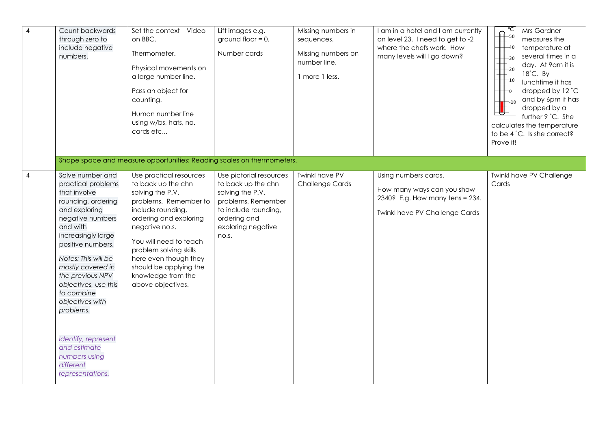| $\overline{4}$ | Count backwards<br>through zero to<br>include negative<br>numbers.                                                                                                                                                                                                                                                                                                                                      | Set the context - Video<br>on BBC.<br>Thermometer.<br>Physical movements on<br>a large number line.<br>Pass an object for<br>counting.<br>Human number line<br>using w/bs, hats, no.<br>cards etc                                                                                                             | Lift images e.g.<br>ground floor $= 0$ .<br>Number cards                                                                                                       | Missing numbers in<br>sequences.<br>Missing numbers on<br>number line.<br>1 more 1 less. | I am in a hotel and I am currently<br>on level 23. I need to get to -2<br>where the chefs work. How<br>many levels will I go down? | ℃<br>Mrs Gardner<br>$-50$<br>measures the<br>$-40$<br>temperature at<br>several times in a<br>$-30$<br>day. At 9am it is<br>$-20$<br>$18^{\circ}$ C. By<br>$+10$<br>lunchtime it has<br>dropped by 12 °C<br>$-\mathfrak{o}$<br>and by 6pm it has<br>$-10$<br>dropped by a<br>further 9 °C. She<br>calculates the temperature<br>to be 4 °C. Is she correct?<br>Prove it! |
|----------------|---------------------------------------------------------------------------------------------------------------------------------------------------------------------------------------------------------------------------------------------------------------------------------------------------------------------------------------------------------------------------------------------------------|---------------------------------------------------------------------------------------------------------------------------------------------------------------------------------------------------------------------------------------------------------------------------------------------------------------|----------------------------------------------------------------------------------------------------------------------------------------------------------------|------------------------------------------------------------------------------------------|------------------------------------------------------------------------------------------------------------------------------------|--------------------------------------------------------------------------------------------------------------------------------------------------------------------------------------------------------------------------------------------------------------------------------------------------------------------------------------------------------------------------|
|                |                                                                                                                                                                                                                                                                                                                                                                                                         | Shape space and measure opportunities: Reading scales on thermometers.                                                                                                                                                                                                                                        |                                                                                                                                                                |                                                                                          |                                                                                                                                    |                                                                                                                                                                                                                                                                                                                                                                          |
| $\overline{4}$ | Solve number and<br>practical problems<br>that involve<br>rounding, ordering<br>and exploring<br>negative numbers<br>and with<br>increasingly large<br>positive numbers.<br>Notes: This will be<br>mostly covered in<br>the previous NPV<br>objectives, use this<br>to combine<br>objectives with<br>problems.<br>Identify, represent<br>and estimate<br>numbers using<br>different<br>representations. | Use practical resources<br>to back up the chn<br>solving the P.V.<br>problems. Remember to<br>include rounding,<br>ordering and exploring<br>negative no.s.<br>You will need to teach<br>problem solving skills<br>here even though they<br>should be applying the<br>knowledge from the<br>above objectives. | Use pictorial resources<br>to back up the chn<br>solving the P.V.<br>problems. Remember<br>to include rounding,<br>ordering and<br>exploring negative<br>no.s. | <b>Twinkl have PV</b><br><b>Challenge Cards</b>                                          | Using numbers cards.<br>How many ways can you show<br>2340? E.g. How many tens = 234.<br><b>Twinkl have PV Challenge Cards</b>     | <b>Twinkl have PV Challenge</b><br>Cards                                                                                                                                                                                                                                                                                                                                 |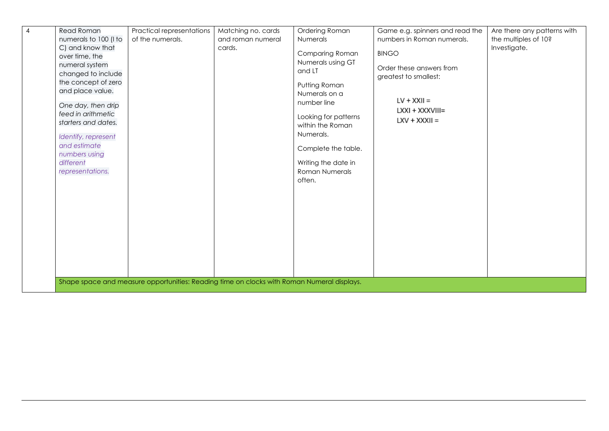| <b>Read Roman</b>                                                                                                                                                                                                                                                                 | Practical representations                                                                  | Matching no. cards | Ordering Roman                                                                                                                                                                                                                            | Game e.g. spinners and read the                                                                                          | Are there any patterns with |
|-----------------------------------------------------------------------------------------------------------------------------------------------------------------------------------------------------------------------------------------------------------------------------------|--------------------------------------------------------------------------------------------|--------------------|-------------------------------------------------------------------------------------------------------------------------------------------------------------------------------------------------------------------------------------------|--------------------------------------------------------------------------------------------------------------------------|-----------------------------|
| numerals to 100 (I to                                                                                                                                                                                                                                                             | of the numerals.                                                                           | and roman numeral  | Numerals                                                                                                                                                                                                                                  | numbers in Roman numerals.                                                                                               | the multiples of 10?        |
| C) and know that<br>over time, the<br>numeral system<br>changed to include<br>the concept of zero<br>and place value.<br>One day, then drip<br>feed in arithmetic<br>starters and dates.<br>Identify, represent<br>and estimate<br>numbers using<br>different<br>representations. |                                                                                            | cards.             | Comparing Roman<br>Numerals using GT<br>and LT<br>Putting Roman<br>Numerals on a<br>number line<br>Looking for patterns<br>within the Roman<br>Numerals.<br>Complete the table.<br>Writing the date in<br><b>Roman Numerals</b><br>often. | <b>BINGO</b><br>Order these answers from<br>greatest to smallest:<br>$LV + XXII =$<br>LXXI + XXXVIII=<br>$LXY + XXXII =$ | Investigate.                |
|                                                                                                                                                                                                                                                                                   | Shape space and measure opportunities: Reading time on clocks with Roman Numeral displays. |                    |                                                                                                                                                                                                                                           |                                                                                                                          |                             |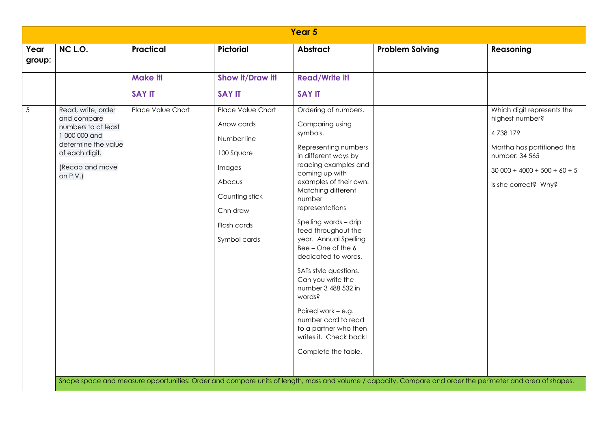| Year 5                                                                                                                                            |                           |                                                                                                                                                |                                                                                                                                                                                                                                                                                                                                                                                                                                                                                                                                                        |                        |                                                                                                                                                                    |  |  |  |  |
|---------------------------------------------------------------------------------------------------------------------------------------------------|---------------------------|------------------------------------------------------------------------------------------------------------------------------------------------|--------------------------------------------------------------------------------------------------------------------------------------------------------------------------------------------------------------------------------------------------------------------------------------------------------------------------------------------------------------------------------------------------------------------------------------------------------------------------------------------------------------------------------------------------------|------------------------|--------------------------------------------------------------------------------------------------------------------------------------------------------------------|--|--|--|--|
| NC L.O.<br>Year<br>group:                                                                                                                         | <b>Practical</b>          | Pictorial                                                                                                                                      | <b>Abstract</b>                                                                                                                                                                                                                                                                                                                                                                                                                                                                                                                                        | <b>Problem Solving</b> | Reasoning                                                                                                                                                          |  |  |  |  |
|                                                                                                                                                   | Make it!<br><b>SAY IT</b> | Show it/Draw it!<br><b>SAY IT</b>                                                                                                              | <b>Read/Write it!</b><br><b>SAY IT</b>                                                                                                                                                                                                                                                                                                                                                                                                                                                                                                                 |                        |                                                                                                                                                                    |  |  |  |  |
| Read, write, order<br>and compare<br>numbers to at least<br>1 000 000 and<br>determine the value<br>of each digit.<br>(Recap and move<br>on P.V.) | Place Value Chart         | Place Value Chart<br>Arrow cards<br>Number line<br>100 Square<br>Images<br>Abacus<br>Counting stick<br>Chn draw<br>Flash cards<br>Symbol cards | Ordering of numbers.<br>Comparing using<br>symbols.<br>Representing numbers<br>in different ways by<br>reading examples and<br>coming up with<br>examples of their own.<br>Matching different<br>number<br>representations<br>Spelling words - drip<br>feed throughout the<br>year. Annual Spelling<br>Bee - One of the 6<br>dedicated to words.<br>SATs style questions.<br>Can you write the<br>number 3 488 532 in<br>words?<br>Paired work - e.g.<br>number card to read<br>to a partner who then<br>writes it. Check back!<br>Complete the table. |                        | Which digit represents the<br>highest number?<br>4738179<br>Martha has partitioned this<br>number: 34 565<br>$30000 + 4000 + 500 + 60 + 5$<br>Is she correct? Why? |  |  |  |  |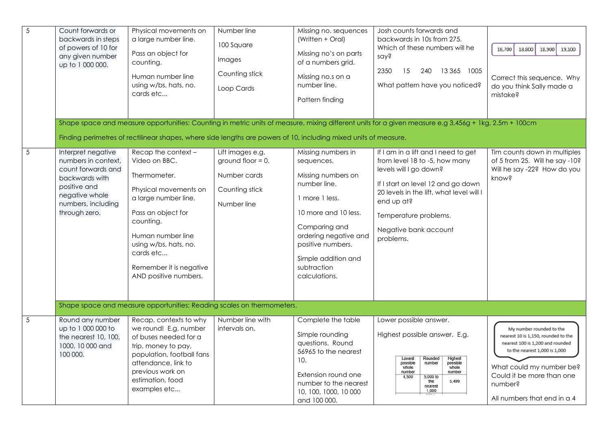| $\overline{5}$ | Count forwards or<br>backwards in steps<br>of powers of 10 for<br>any given number<br>up to 1 000 000.                                                     | Physical movements on<br>a large number line.<br>Pass an object for<br>counting.<br>Human number line<br>using w/bs, hats, no.<br>cards etc                                                                                                             | Number line<br>100 Square<br>Images<br>Counting stick<br>Loop Cards                       | Missing no. sequences<br>(Written + Oral)<br>Missing no's on parts<br>of a numbers grid.<br>Missing no.s on a<br>number line.<br>Pattern finding                                                                                       | Josh counts forwards and<br>backwards in 10s from 275.<br>Which of these numbers will he<br>say?<br>2350<br>15<br>240<br>13 365 1005<br>What pattern have you noticed?                                                                                        | 18,800<br>18,700<br>18,900<br>19,100<br>Correct this sequence. Why<br>do you think Sally made a<br>mistake?                                                                                                                             |
|----------------|------------------------------------------------------------------------------------------------------------------------------------------------------------|---------------------------------------------------------------------------------------------------------------------------------------------------------------------------------------------------------------------------------------------------------|-------------------------------------------------------------------------------------------|----------------------------------------------------------------------------------------------------------------------------------------------------------------------------------------------------------------------------------------|---------------------------------------------------------------------------------------------------------------------------------------------------------------------------------------------------------------------------------------------------------------|-----------------------------------------------------------------------------------------------------------------------------------------------------------------------------------------------------------------------------------------|
|                |                                                                                                                                                            |                                                                                                                                                                                                                                                         |                                                                                           |                                                                                                                                                                                                                                        | Shape space and measure opportunities: Counting in metric units of measure, mixing different units for a given measure e.g 3,456g + 1kg, 2.5m + 100cm                                                                                                         |                                                                                                                                                                                                                                         |
|                |                                                                                                                                                            | Finding perimetres of rectilinear shapes, where side lengths are powers of 10, including mixed units of measure.                                                                                                                                        |                                                                                           |                                                                                                                                                                                                                                        |                                                                                                                                                                                                                                                               |                                                                                                                                                                                                                                         |
| 5              | Interpret negative<br>numbers in context,<br>count forwards and<br>backwards with<br>positive and<br>negative whole<br>numbers, including<br>through zero. | Recap the context -<br>Video on BBC.<br>Thermometer.<br>Physical movements on<br>a large number line.<br>Pass an object for<br>counting.<br>Human number line<br>using w/bs, hats, no.<br>cards etc<br>Remember it is negative<br>AND positive numbers. | Lift images e.g.<br>ground floor $= 0$ .<br>Number cards<br>Counting stick<br>Number line | Missing numbers in<br>sequences.<br>Missing numbers on<br>number line.<br>1 more 1 less.<br>10 more and 10 less.<br>Comparing and<br>ordering negative and<br>positive numbers.<br>Simple addition and<br>subtraction<br>calculations. | If I am in a lift and I need to get<br>from level 18 to -5, how many<br>levels will I go down?<br>If I start on level 12 and go down<br>20 levels in the lift, what level will I<br>end up at?<br>Temperature problems.<br>Negative bank account<br>problems. | Tim counts down in multiples<br>of 5 from 25. Will he say -10?<br>Will he say -22? How do you<br>know?                                                                                                                                  |
|                |                                                                                                                                                            | Shape space and measure opportunities: Reading scales on thermometers.                                                                                                                                                                                  |                                                                                           |                                                                                                                                                                                                                                        |                                                                                                                                                                                                                                                               |                                                                                                                                                                                                                                         |
| 5              | Round any number<br>up to 1 000 000 to<br>the nearest 10, 100,<br>1000, 10 000 and<br>100 000.                                                             | Recap, contexts to why<br>we round! E.g. number<br>of buses needed for a<br>trip, money to pay,<br>population, football fans<br>attendance, link to<br>previous work on<br>estimation, food<br>examples etc                                             | Number line with<br>intervals on.                                                         | Complete the table<br>Simple rounding<br>questions. Round<br>56965 to the nearest<br>10.<br>Extension round one<br>number to the nearest<br>10, 100, 1000, 10 000<br>and 100 000.                                                      | Lower possible answer.<br>Highest possible answer. E.g.<br>Lowest<br>Rounded<br>Highest<br>possible<br>possible<br>number<br>whole<br>whole<br>number<br>number<br>5,000 to<br>4.500<br>5,499<br>the<br>nearest<br>1,000                                      | My number rounded to the<br>nearest 10 is 1,150, rounded to the<br>nearest 100 is 1,200 and rounded<br>to the nearest 1,000 is 1,000<br>What could my number be?<br>Could it be more than one<br>number?<br>All numbers that end in a 4 |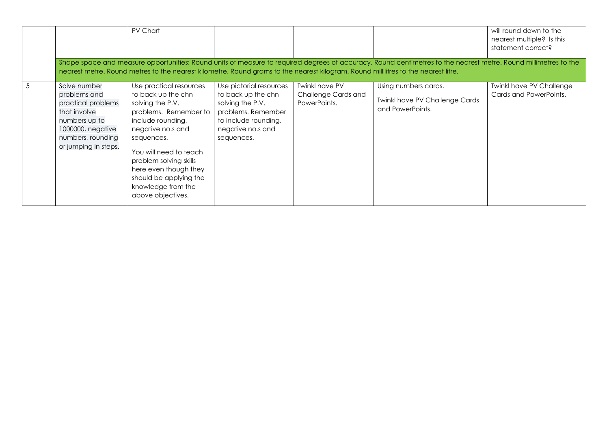|                                                                                                                                                       | PV Chart                                                                                                                                                                                                                                                                                             |                                                                                                                                                    |                                                              |                                                                                                                                                                                                                                                                                                       | will round down to the<br>nearest multiple? Is this<br>statement correct? |
|-------------------------------------------------------------------------------------------------------------------------------------------------------|------------------------------------------------------------------------------------------------------------------------------------------------------------------------------------------------------------------------------------------------------------------------------------------------------|----------------------------------------------------------------------------------------------------------------------------------------------------|--------------------------------------------------------------|-------------------------------------------------------------------------------------------------------------------------------------------------------------------------------------------------------------------------------------------------------------------------------------------------------|---------------------------------------------------------------------------|
|                                                                                                                                                       |                                                                                                                                                                                                                                                                                                      |                                                                                                                                                    |                                                              | Shape space and measure opportunities: Round units of measure to required degrees of accuracy. Round centimetres to the nearest metre. Round millimetres to the<br>nearest metre. Round metres to the nearest kilometre. Round grams to the nearest kilogram. Round millilitres to the nearest litre. |                                                                           |
| Solve number<br>problems and<br>practical problems<br>that involve<br>numbers up to<br>1000000, negative<br>numbers, rounding<br>or jumping in steps. | Use practical resources<br>to back up the chn<br>solving the P.V.<br>problems. Remember to<br>include rounding,<br>negative no.s and<br>sequences.<br>You will need to teach<br>problem solving skills<br>here even though they<br>should be applying the<br>knowledge from the<br>above objectives. | Use pictorial resources<br>to back up the chn<br>solving the P.V.<br>problems. Remember<br>to include rounding,<br>negative no.s and<br>sequences. | <b>Twinkl have PV</b><br>Challenge Cards and<br>PowerPoints. | Using numbers cards.<br><b>Twinkl have PV Challenge Cards</b><br>and PowerPoints.                                                                                                                                                                                                                     | <b>Twinkl have PV Challenge</b><br>Cards and PowerPoints.                 |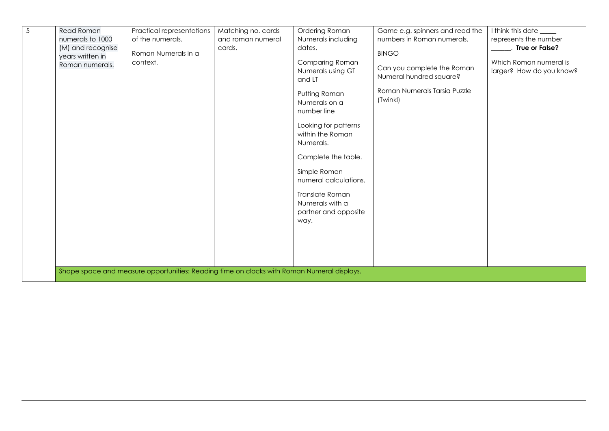| <b>Read Roman</b><br>numerals to 1000<br>(M) and recognise<br>years written in<br>Roman numerals. | Practical representations<br>of the numerals.<br>Roman Numerals in a<br>context.           | Matching no. cards<br>and roman numeral<br>cards. | Ordering Roman<br>Numerals including<br>dates.<br><b>Comparing Roman</b><br>Numerals using GT<br>and LT<br>Putting Roman<br>Numerals on a<br>number line<br>Looking for patterns<br>within the Roman<br>Numerals.<br>Complete the table.<br>Simple Roman<br>numeral calculations. | Game e.g. spinners and read the<br>numbers in Roman numerals.<br><b>BINGO</b><br>Can you complete the Roman<br>Numeral hundred square?<br>Roman Numerals Tarsia Puzzle<br>(Twinkl) | I think this date ____<br>represents the number<br>. True or False?<br>Which Roman numeral is<br>larger? How do you know? |
|---------------------------------------------------------------------------------------------------|--------------------------------------------------------------------------------------------|---------------------------------------------------|-----------------------------------------------------------------------------------------------------------------------------------------------------------------------------------------------------------------------------------------------------------------------------------|------------------------------------------------------------------------------------------------------------------------------------------------------------------------------------|---------------------------------------------------------------------------------------------------------------------------|
|                                                                                                   | Shape space and measure opportunities: Reading time on clocks with Roman Numeral displays. |                                                   | Translate Roman<br>Numerals with a<br>partner and opposite<br>way.                                                                                                                                                                                                                |                                                                                                                                                                                    |                                                                                                                           |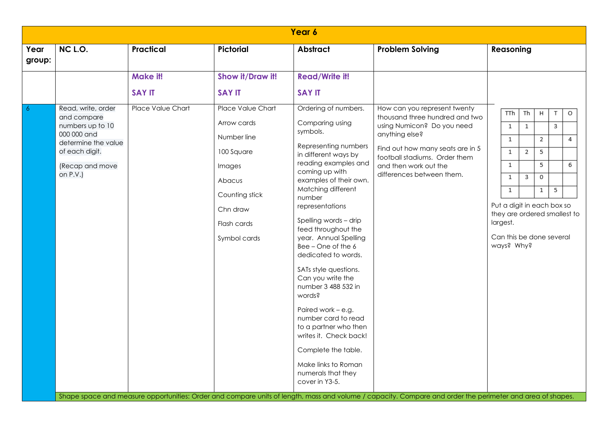| Year 6         |                                                                                                                                              |                          |                                                                                                                                                |                                                                                                                                                                                                                                                                                                                                                                                                                                                                                                                                                                                                     |                                                                                                                                                                                                                                           |                                                                                                                                                                                                                                                                                                                                             |  |  |  |
|----------------|----------------------------------------------------------------------------------------------------------------------------------------------|--------------------------|------------------------------------------------------------------------------------------------------------------------------------------------|-----------------------------------------------------------------------------------------------------------------------------------------------------------------------------------------------------------------------------------------------------------------------------------------------------------------------------------------------------------------------------------------------------------------------------------------------------------------------------------------------------------------------------------------------------------------------------------------------------|-------------------------------------------------------------------------------------------------------------------------------------------------------------------------------------------------------------------------------------------|---------------------------------------------------------------------------------------------------------------------------------------------------------------------------------------------------------------------------------------------------------------------------------------------------------------------------------------------|--|--|--|
| Year<br>group: | NC L.O.                                                                                                                                      | <b>Practical</b>         | <b>Pictorial</b>                                                                                                                               | <b>Abstract</b>                                                                                                                                                                                                                                                                                                                                                                                                                                                                                                                                                                                     | <b>Problem Solving</b>                                                                                                                                                                                                                    | Reasoning                                                                                                                                                                                                                                                                                                                                   |  |  |  |
|                |                                                                                                                                              | Make it!                 | Show it/Draw it!                                                                                                                               | <b>Read/Write it!</b>                                                                                                                                                                                                                                                                                                                                                                                                                                                                                                                                                                               |                                                                                                                                                                                                                                           |                                                                                                                                                                                                                                                                                                                                             |  |  |  |
|                |                                                                                                                                              | <b>SAY IT</b>            | <b>SAY IT</b>                                                                                                                                  | <b>SAY IT</b>                                                                                                                                                                                                                                                                                                                                                                                                                                                                                                                                                                                       |                                                                                                                                                                                                                                           |                                                                                                                                                                                                                                                                                                                                             |  |  |  |
| 6              | Read, write, order<br>and compare<br>numbers up to 10<br>000 000 and<br>determine the value<br>of each digit.<br>(Recap and move<br>on P.V.) | <b>Place Value Chart</b> | Place Value Chart<br>Arrow cards<br>Number line<br>100 Square<br>Images<br>Abacus<br>Counting stick<br>Chn draw<br>Flash cards<br>Symbol cards | Ordering of numbers.<br>Comparing using<br>symbols.<br>Representing numbers<br>in different ways by<br>reading examples and<br>coming up with<br>examples of their own.<br>Matching different<br>number<br>representations<br>Spelling words - drip<br>feed throughout the<br>year. Annual Spelling<br>Bee - One of the 6<br>dedicated to words.<br>SATs style questions.<br>Can you write the<br>number 3 488 532 in<br>words?<br>Paired work - e.g.<br>number card to read<br>to a partner who then<br>writes it. Check back!<br>Complete the table.<br>Make links to Roman<br>numerals that they | How can you represent twenty<br>thousand three hundred and two<br>using Numicon? Do you need<br>anything else?<br>Find out how many seats are in 5<br>football stadiums. Order them<br>and then work out the<br>differences between them. | <b>TTh</b><br>Th<br>Н<br>$\top$<br>$\circ$<br>3<br>$\mathbf{1}$<br>1<br>$\mathbf{1}$<br>2<br>4<br>5<br>$\mathbf{1}$<br>2<br>$\mathbf{1}$<br>5<br>6<br>$\mathbf{1}$<br>3<br>$\circ$<br>5<br>$\mathbf{1}$<br>$\mathbf{1}$<br>Put a digit in each box so<br>they are ordered smallest to<br>largest.<br>Can this be done several<br>ways? Why? |  |  |  |
|                |                                                                                                                                              |                          |                                                                                                                                                | cover in Y3-5.                                                                                                                                                                                                                                                                                                                                                                                                                                                                                                                                                                                      | Shape space and measure opportunities: Order and compare units of length, mass and volume / capacity. Compare and order the perimeter and area of shapes.                                                                                 |                                                                                                                                                                                                                                                                                                                                             |  |  |  |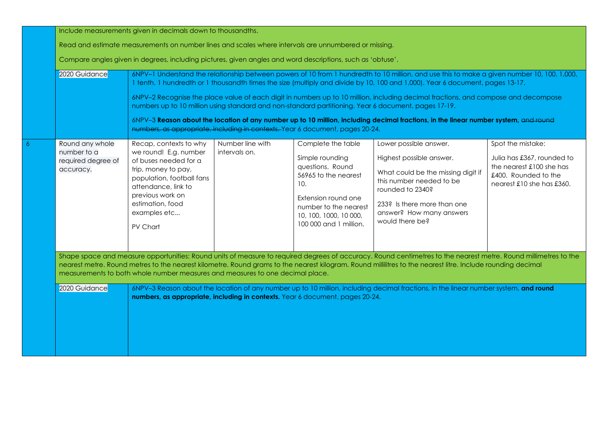|  | Include measurements given in decimals down to thousandths.                                                                                                                                                                                                                                                                                                                                                                         |                                                                                                                                                                                                                                                                                                                                                                                                                 |                                   |                                                                                                                                                                                              |                                                                                                                                                                                                                        |                                                                                                                                  |  |  |  |  |
|--|-------------------------------------------------------------------------------------------------------------------------------------------------------------------------------------------------------------------------------------------------------------------------------------------------------------------------------------------------------------------------------------------------------------------------------------|-----------------------------------------------------------------------------------------------------------------------------------------------------------------------------------------------------------------------------------------------------------------------------------------------------------------------------------------------------------------------------------------------------------------|-----------------------------------|----------------------------------------------------------------------------------------------------------------------------------------------------------------------------------------------|------------------------------------------------------------------------------------------------------------------------------------------------------------------------------------------------------------------------|----------------------------------------------------------------------------------------------------------------------------------|--|--|--|--|
|  | Read and estimate measurements on number lines and scales where intervals are unnumbered or missing.<br>Compare angles given in degrees, including pictures, given angles and word descriptions, such as 'obtuse'.                                                                                                                                                                                                                  |                                                                                                                                                                                                                                                                                                                                                                                                                 |                                   |                                                                                                                                                                                              |                                                                                                                                                                                                                        |                                                                                                                                  |  |  |  |  |
|  |                                                                                                                                                                                                                                                                                                                                                                                                                                     |                                                                                                                                                                                                                                                                                                                                                                                                                 |                                   |                                                                                                                                                                                              |                                                                                                                                                                                                                        |                                                                                                                                  |  |  |  |  |
|  | 6NPV-1 Understand the relationship between powers of 10 from 1 hundredth to 10 million, and use this to make a given number 10, 100, 1,000,<br>2020 Guidance<br>1 tenth, 1 hundredth or 1 thousandth times the size (multiply and divide by 10, 100 and 1,000). Year 6 document, pages 13-17.<br>6NPV-2 Recognise the place value of each digit in numbers up to 10 million, including decimal fractions, and compose and decompose |                                                                                                                                                                                                                                                                                                                                                                                                                 |                                   |                                                                                                                                                                                              |                                                                                                                                                                                                                        |                                                                                                                                  |  |  |  |  |
|  |                                                                                                                                                                                                                                                                                                                                                                                                                                     | numbers up to 10 million using standard and non-standard partitioning. Year 6 document, pages 17-19.<br>6NPV-3 Reason about the location of any number up to 10 million, including decimal fractions, in the linear number system, and round<br>numbers, as appropriate, including in contexts. Year 6 document, pages 20-24.                                                                                   |                                   |                                                                                                                                                                                              |                                                                                                                                                                                                                        |                                                                                                                                  |  |  |  |  |
|  |                                                                                                                                                                                                                                                                                                                                                                                                                                     |                                                                                                                                                                                                                                                                                                                                                                                                                 |                                   |                                                                                                                                                                                              |                                                                                                                                                                                                                        |                                                                                                                                  |  |  |  |  |
|  | Round any whole<br>number to a<br>required degree of<br>accuracy.                                                                                                                                                                                                                                                                                                                                                                   | Recap, contexts to why<br>we round! E.g. number<br>of buses needed for a<br>trip, money to pay,<br>population, football fans<br>attendance, link to<br>previous work on<br>estimation, food<br>examples etc<br>PV Chart                                                                                                                                                                                         | Number line with<br>intervals on. | Complete the table<br>Simple rounding<br>questions. Round<br>56965 to the nearest<br>10.<br>Extension round one<br>number to the nearest<br>10, 100, 1000, 10 000,<br>100 000 and 1 million. | Lower possible answer.<br>Highest possible answer.<br>What could be the missing digit if<br>this number needed to be<br>rounded to 2340?<br>233? Is there more than one<br>answer? How many answers<br>would there be? | Spot the mistake:<br>Julia has £367, rounded to<br>the nearest £100 she has<br>£400. Rounded to the<br>nearest £10 she has £360. |  |  |  |  |
|  |                                                                                                                                                                                                                                                                                                                                                                                                                                     | Shape space and measure opportunities: Round units of measure to required degrees of accuracy. Round centimetres to the nearest metre. Round millimetres to the<br>nearest metre. Round metres to the nearest kilometre. Round grams to the nearest kilogram. Round millilitres to the nearest litre. Include rounding decimal<br>measurements to both whole number measures and measures to one decimal place. |                                   |                                                                                                                                                                                              |                                                                                                                                                                                                                        |                                                                                                                                  |  |  |  |  |
|  | 2020 Guidance                                                                                                                                                                                                                                                                                                                                                                                                                       | 6NPV-3 Reason about the location of any number up to 10 million, including decimal fractions, in the linear number system, and round<br>numbers, as appropriate, including in contexts. Year 6 document, pages 20-24.                                                                                                                                                                                           |                                   |                                                                                                                                                                                              |                                                                                                                                                                                                                        |                                                                                                                                  |  |  |  |  |
|  |                                                                                                                                                                                                                                                                                                                                                                                                                                     |                                                                                                                                                                                                                                                                                                                                                                                                                 |                                   |                                                                                                                                                                                              |                                                                                                                                                                                                                        |                                                                                                                                  |  |  |  |  |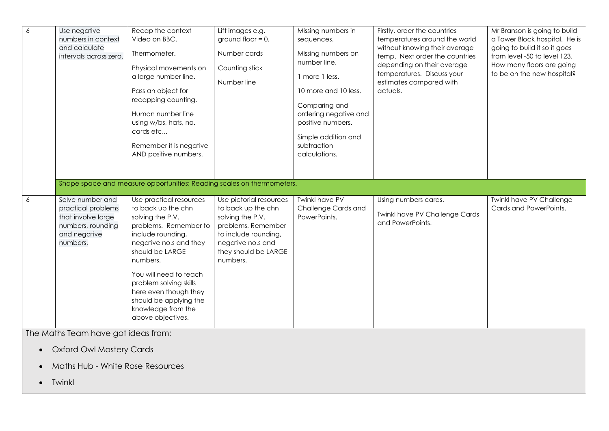| $\overline{6}$ | Use negative<br>numbers in context<br>and calculate<br>intervals across zero.                                        | Recap the context -<br>Video on BBC.<br>Thermometer.<br>Physical movements on<br>a large number line.<br>Pass an object for<br>recapping counting.<br>Human number line<br>using w/bs, hats, no.<br>cards etc<br>Remember it is negative<br>AND positive numbers.                                                          | Lift images e.g.<br>ground floor $= 0$ .<br>Number cards<br>Counting stick<br>Number line                                                                                | Missing numbers in<br>sequences.<br>Missing numbers on<br>number line.<br>1 more 1 less.<br>10 more and 10 less.<br>Comparing and<br>ordering negative and<br>positive numbers.<br>Simple addition and<br>subtraction<br>calculations. | Firstly, order the countries<br>temperatures around the world<br>without knowing their average<br>temp. Next order the countries<br>depending on their average<br>temperatures. Discuss your<br>estimates compared with<br>actuals. | Mr Branson is going to build<br>a Tower Block hospital. He is<br>going to build it so it goes<br>from level -50 to level 123.<br>How many floors are going<br>to be on the new hospital? |
|----------------|----------------------------------------------------------------------------------------------------------------------|----------------------------------------------------------------------------------------------------------------------------------------------------------------------------------------------------------------------------------------------------------------------------------------------------------------------------|--------------------------------------------------------------------------------------------------------------------------------------------------------------------------|----------------------------------------------------------------------------------------------------------------------------------------------------------------------------------------------------------------------------------------|-------------------------------------------------------------------------------------------------------------------------------------------------------------------------------------------------------------------------------------|------------------------------------------------------------------------------------------------------------------------------------------------------------------------------------------|
|                |                                                                                                                      | Shape space and measure opportunities: Reading scales on thermometers.                                                                                                                                                                                                                                                     |                                                                                                                                                                          |                                                                                                                                                                                                                                        |                                                                                                                                                                                                                                     |                                                                                                                                                                                          |
| 6              | Solve number and<br>practical problems<br>that involve large<br>numbers, rounding<br>and negative<br>numbers.        | Use practical resources<br>to back up the chn<br>solving the P.V.<br>problems. Remember to<br>include rounding,<br>negative no.s and they<br>should be LARGE<br>numbers.<br>You will need to teach<br>problem solving skills<br>here even though they<br>should be applying the<br>knowledge from the<br>above objectives. | Use pictorial resources<br>to back up the chn<br>solving the P.V.<br>problems. Remember<br>to include rounding,<br>negative no.s and<br>they should be LARGE<br>numbers. | <b>Twinkl have PV</b><br>Challenge Cards and<br>PowerPoints.                                                                                                                                                                           | Using numbers cards.<br><b>Twinkl have PV Challenge Cards</b><br>and PowerPoints.                                                                                                                                                   | <b>Twinkl have PV Challenge</b><br>Cards and PowerPoints.                                                                                                                                |
|                | The Maths Team have got ideas from:<br><b>Oxford Owl Mastery Cards</b><br>Maths Hub - White Rose Resources<br>Twinkl |                                                                                                                                                                                                                                                                                                                            |                                                                                                                                                                          |                                                                                                                                                                                                                                        |                                                                                                                                                                                                                                     |                                                                                                                                                                                          |